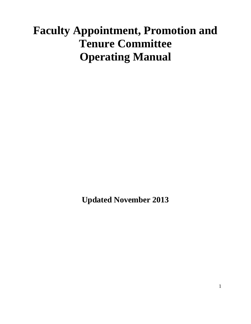# **Faculty Appointment, Promotion and Tenure Committee Operating Manual**

**Updated November 2013**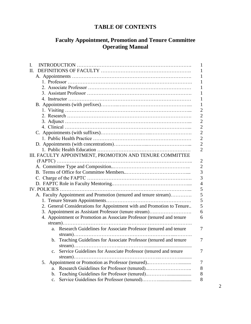### **TABLE OF CONTENTS**

### **Faculty Appointment, Promotion and Tenure Committee Operating Manual**

| I.                                                                               | 1              |
|----------------------------------------------------------------------------------|----------------|
| H.                                                                               | 1              |
|                                                                                  | 1              |
|                                                                                  | 1              |
|                                                                                  | 1              |
|                                                                                  | 1              |
|                                                                                  | 1              |
|                                                                                  | 1              |
|                                                                                  | $\overline{2}$ |
|                                                                                  | $\overline{2}$ |
|                                                                                  | $\overline{2}$ |
|                                                                                  | $\overline{2}$ |
|                                                                                  | $\overline{2}$ |
|                                                                                  | $\overline{2}$ |
|                                                                                  | $\overline{c}$ |
|                                                                                  | $\overline{2}$ |
| III. FACULTY APPOINTMENT, PROMOTION AND TENURE COMMITTEE                         |                |
|                                                                                  | $\overline{2}$ |
|                                                                                  | $\overline{2}$ |
|                                                                                  | $\overline{3}$ |
|                                                                                  | $\overline{3}$ |
|                                                                                  | $\overline{4}$ |
| <b>IV. POLICIES</b>                                                              | 5              |
| A. Faculty Appointment and Promotion (tenured and tenure stream)                 | 5              |
|                                                                                  | 5              |
| 2. General Considerations for Appointment with and Promotion to Tenure           | 5              |
| 3. Appointment as Assistant Professor (tenure stream)                            | 6              |
| 4. Appointment or Promotion as Associate Professor (tenured and tenure           | 6              |
|                                                                                  |                |
| Research Guidelines for Associate Professor (tenured and tenure<br>a.            | 7              |
|                                                                                  |                |
| stream)                                                                          |                |
| b. Teaching Guidelines for Associate Professor (tenured and tenure               | 7              |
| Service Guidelines for Associate Professor (tenured and tenure<br>$\mathbf{c}$ . | 7              |
| $stream)$                                                                        |                |
| 5.                                                                               | 7              |
| a.                                                                               | $8\,$          |
| b.                                                                               | $8\,$          |
| $C_{\bullet}$                                                                    | 8              |
|                                                                                  |                |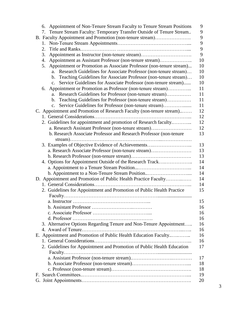| Tenure Stream Faculty: Temporary Transfer Outside of Tenure Stream<br>9<br>7.<br>9<br>B. Faculty Appointment and Promotion (non-tenure stream)<br>9<br>1.<br>9<br>2.<br>9<br>Appointment as Instructor (non-tenure stream)<br>3.<br>Appointment as Assistant Professor (non-tenure stream)<br>4.<br>Appointment or Promotion as Associate Professor (non-tenure stream)<br>5.<br>Research Guidelines for Associate Professor (non-tenure stream) |
|--------------------------------------------------------------------------------------------------------------------------------------------------------------------------------------------------------------------------------------------------------------------------------------------------------------------------------------------------------------------------------------------------------------------------------------------------|
|                                                                                                                                                                                                                                                                                                                                                                                                                                                  |
| 10<br>10                                                                                                                                                                                                                                                                                                                                                                                                                                         |
| 10                                                                                                                                                                                                                                                                                                                                                                                                                                               |
|                                                                                                                                                                                                                                                                                                                                                                                                                                                  |
|                                                                                                                                                                                                                                                                                                                                                                                                                                                  |
|                                                                                                                                                                                                                                                                                                                                                                                                                                                  |
|                                                                                                                                                                                                                                                                                                                                                                                                                                                  |
| a.                                                                                                                                                                                                                                                                                                                                                                                                                                               |
| 10<br>Teaching Guidelines for Associate Professor (non-tenure stream)<br>$\mathbf{b}$ .                                                                                                                                                                                                                                                                                                                                                          |
| Service Guidelines for Associate Professor (non-tenure stream)<br>10<br>$\mathbf{C}$ .                                                                                                                                                                                                                                                                                                                                                           |
| Appointment or Promotion as Professor (non-tenure stream)<br>11<br>6.                                                                                                                                                                                                                                                                                                                                                                            |
| Research Guidelines for Professor (non-tenure stream)<br>11<br>a.                                                                                                                                                                                                                                                                                                                                                                                |
| 11<br>Teaching Guidelines for Professor (non-tenure stream)<br>$\mathbf{b}$ .                                                                                                                                                                                                                                                                                                                                                                    |
| 11<br>Service Guidelines for Professor (non-tenure stream)<br>$c_{\cdot}$                                                                                                                                                                                                                                                                                                                                                                        |
| C. Appointment and Promotion of Research Faculty (non-tenure stream)<br>12                                                                                                                                                                                                                                                                                                                                                                       |
| 12                                                                                                                                                                                                                                                                                                                                                                                                                                               |
| 12<br>2. Guidelines for appointment and promotion of Research faculty                                                                                                                                                                                                                                                                                                                                                                            |
| a. Research Assistant Professor (non-tenure stream)<br>12                                                                                                                                                                                                                                                                                                                                                                                        |
| 13<br>b. Research Associate Professor and Research Professor (non-tenure                                                                                                                                                                                                                                                                                                                                                                         |
|                                                                                                                                                                                                                                                                                                                                                                                                                                                  |
| 13<br>3. Examples of Objective Evidence of Achievements                                                                                                                                                                                                                                                                                                                                                                                          |
| 13<br>a. Research Associate Professor (non-tenure stream)                                                                                                                                                                                                                                                                                                                                                                                        |
| 13                                                                                                                                                                                                                                                                                                                                                                                                                                               |
| 14<br>4. Options for Appointment Outside of the Research Track                                                                                                                                                                                                                                                                                                                                                                                   |
| 14                                                                                                                                                                                                                                                                                                                                                                                                                                               |
| 14<br>b. Appointment to a Non-Tenure Stream Position                                                                                                                                                                                                                                                                                                                                                                                             |
| D. Appointment and Promotion of Public Health Practice Faculty<br>14                                                                                                                                                                                                                                                                                                                                                                             |
| 14                                                                                                                                                                                                                                                                                                                                                                                                                                               |
| 2. Guidelines for Appointment and Promotion of Public Health Practice<br>15                                                                                                                                                                                                                                                                                                                                                                      |
|                                                                                                                                                                                                                                                                                                                                                                                                                                                  |
| 15                                                                                                                                                                                                                                                                                                                                                                                                                                               |
| 16                                                                                                                                                                                                                                                                                                                                                                                                                                               |
| 16                                                                                                                                                                                                                                                                                                                                                                                                                                               |
| 16                                                                                                                                                                                                                                                                                                                                                                                                                                               |
| 3. Alternative Options Regarding Tenure and Non-Tenure Appointment<br>16                                                                                                                                                                                                                                                                                                                                                                         |
| 16                                                                                                                                                                                                                                                                                                                                                                                                                                               |
| E. Appointment and Promotion of Public Health Education Faculty<br>16                                                                                                                                                                                                                                                                                                                                                                            |
| 16                                                                                                                                                                                                                                                                                                                                                                                                                                               |
| 2. Guidelines for Appointment and Promotion of Public Health Education<br>17                                                                                                                                                                                                                                                                                                                                                                     |
|                                                                                                                                                                                                                                                                                                                                                                                                                                                  |
| 17                                                                                                                                                                                                                                                                                                                                                                                                                                               |
| 18                                                                                                                                                                                                                                                                                                                                                                                                                                               |
| 18                                                                                                                                                                                                                                                                                                                                                                                                                                               |
| 19                                                                                                                                                                                                                                                                                                                                                                                                                                               |
| 20                                                                                                                                                                                                                                                                                                                                                                                                                                               |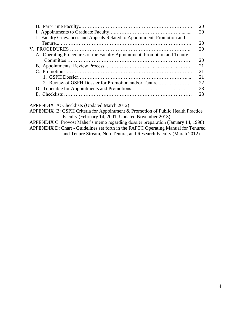|                                                                          | 20 |
|--------------------------------------------------------------------------|----|
|                                                                          | 20 |
| J. Faculty Grievances and Appeals Related to Appointment, Promotion and  |    |
|                                                                          | 20 |
|                                                                          | 20 |
| A. Operating Procedures of the Faculty Appointment, Promotion and Tenure |    |
|                                                                          | 20 |
|                                                                          | 21 |
|                                                                          | 21 |
|                                                                          | 21 |
| 2. Review of GSPH Dossier for Promotion and/or Tenure                    | 22 |
|                                                                          | 23 |
|                                                                          | 23 |
|                                                                          |    |

APPENDIX A: Checklists (Updated March 2012)

APPENDIX B: GSPH Criteria for Appointment & Promotion of Public Health Practice Faculty (February 14, 2001, Updated November 2013)

APPENDIX C: Provost Maher's memo regarding dossier preparation (January 14, 1998)

APPENDIX D: Chart - Guidelines set forth in the FAPTC Operating Manual for Tenured and Tenure Stream, Non-Tenure, and Research Faculty (March 2012)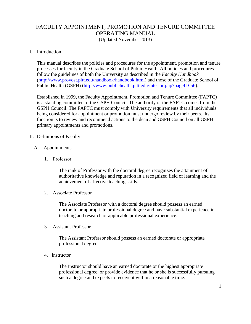# FACULTY APPOINTMENT, PROMOTION AND TENURE COMMITTEE OPERATING MANUAL

(Updated November 2013)

#### I. Introduction

This manual describes the policies and procedures for the appointment, promotion and tenure processes for faculty in the Graduate School of Public Health. All policies and procedures follow the guidelines of both the University as described in the *Faculty Handbook* [\(http://www.provost.pitt.edu/handbook/handbook.html\)](http://www.provost.pitt.edu/handbook/handbook.html) and those of the Graduate School of Public Health (GSPH) [\(http://www.publichealth.pitt.edu/interior.php?pageID'56\)](http://www.publichealth.pitt.edu/interior.php?pageID=56).

Established in 1999, the Faculty Appointment, Promotion and Tenure Committee (FAPTC) is a standing committee of the GSPH Council. The authority of the FAPTC comes from the GSPH Council. The FAPTC must comply with University requirements that all individuals being considered for appointment or promotion must undergo review by their peers. Its function is to review and recommend actions to the dean and GSPH Council on all GSPH primary appointments and promotions.

#### II. Definitions of Faculty

- A. Appointments
	- 1. Professor

The rank of Professor with the doctoral degree recognizes the attainment of authoritative knowledge and reputation in a recognized field of learning and the achievement of effective teaching skills.

2. Associate Professor

The Associate Professor with a doctoral degree should possess an earned doctorate or appropriate professional degree and have substantial experience in teaching and research or applicable professional experience.

3. Assistant Professor

The Assistant Professor should possess an earned doctorate or appropriate professional degree.

4. Instructor

The Instructor should have an earned doctorate or the highest appropriate professional degree, or provide evidence that he or she is successfully pursuing such a degree and expects to receive it within a reasonable time.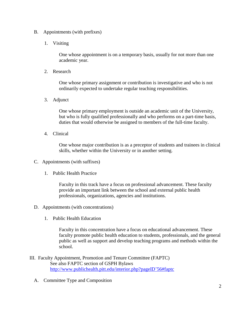- B. Appointments (with prefixes)
	- 1. Visiting

One whose appointment is on a temporary basis, usually for not more than one academic year.

2. Research

One whose primary assignment or contribution is investigative and who is not ordinarily expected to undertake regular teaching responsibilities.

3. Adjunct

One whose primary employment is outside an academic unit of the University, but who is fully qualified professionally and who performs on a part-time basis, duties that would otherwise be assigned to members of the full-time faculty.

4. Clinical

One whose major contribution is as a preceptor of students and trainees in clinical skills, whether within the University or in another setting.

- C. Appointments (with suffixes)
	- 1. Public Health Practice

Faculty in this track have a focus on professional advancement. These faculty provide an important link between the school and external public health professionals, organizations, agencies and institutions.

- D. Appointments (with concentrations)
	- 1. Public Health Education

Faculty in this concentration have a focus on educational advancement. These faculty promote public health education to students, professionals, and the general public as well as support and develop teaching programs and methods within the school.

- III. Faculty Appointment, Promotion and Tenure Committee (FAPTC) See also FAPTC section of GSPH Bylaws [http://www.publichealth.pitt.edu/interior.php?pageID'56#faptc](http://www.publichealth.pitt.edu/interior.php?pageID=56#faptc)
	- A. Committee Type and Composition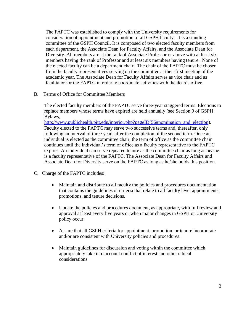The FAPTC was established to comply with the University requirements for consideration of appointment and promotion of all GSPH faculty. It is a standing committee of the GSPH Council. It is composed of two elected faculty members from each department, the Associate Dean for Faculty Affairs, and the Associate Dean for Diversity. All members are at the rank of Associate Professor or above with at least six members having the rank of Professor and at least six members having tenure. None of the elected faculty can be a department chair. The chair of the FAPTC must be chosen from the faculty representatives serving on the committee at their first meeting of the academic year. The Associate Dean for Faculty Affairs serves as vice chair and as facilitator for the FAPTC in order to coordinate activities with the dean's office.

B. Terms of Office for Committee Members

The elected faculty members of the FAPTC serve three-year staggered terms. Elections to replace members whose terms have expired are held annually (see Section 9 of GSPH Bylaws,

[http://www.publichealth.pitt.edu/interior.php?pageID'56#nomination\\_and\\_election\)](http://www.publichealth.pitt.edu/interior.php?pageID=56#nomination_and_election). Faculty elected to the FAPTC may serve two successive terms and, thereafter, only following an interval of three years after the completion of the second term. Once an individual is elected as the committee chair, the term of office as the committee chair continues until the individual's term of office as a faculty representative to the FAPTC expires. An individual can serve repeated tenure as the committee chair as long as he/she is a faculty representative of the FAPTC. The Associate Dean for Faculty Affairs and Associate Dean for Diversity serve on the FAPTC as long as he/she holds this position.

- C. Charge of the FAPTC includes:
	- Maintain and distribute to all faculty the policies and procedures documentation that contains the guidelines or criteria that relate to all faculty level appointments, promotions, and tenure decisions.
	- Update the policies and procedures document, as appropriate, with full review and approval at least every five years or when major changes in GSPH or University policy occur.
	- Assure that all GSPH criteria for appointment, promotion, or tenure incorporate and/or are consistent with University policies and procedures.
	- Maintain guidelines for discussion and voting within the committee which appropriately take into account conflict of interest and other ethical considerations.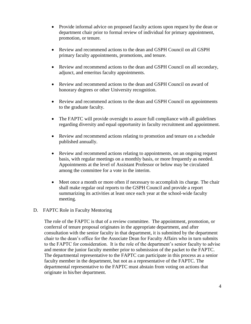- Provide informal advice on proposed faculty actions upon request by the dean or department chair prior to formal review of individual for primary appointment, promotion, or tenure.
- Review and recommend actions to the dean and GSPH Council on all GSPH primary faculty appointments, promotions, and tenure.
- Review and recommend actions to the dean and GSPH Council on all secondary, adjunct, and emeritus faculty appointments.
- Review and recommend actions to the dean and GSPH Council on award of honorary degrees or other University recognition.
- Review and recommend actions to the dean and GSPH Council on appointments to the graduate faculty.
- The FAPTC will provide oversight to assure full compliance with all guidelines regarding diversity and equal opportunity in faculty recruitment and appointment.
- Review and recommend actions relating to promotion and tenure on a schedule published annually.
- Review and recommend actions relating to appointments, on an ongoing request basis, with regular meetings on a monthly basis, or more frequently as needed. Appointments at the level of Assistant Professor or below may be circulated among the committee for a vote in the interim.
- Meet once a month or more often if necessary to accomplish its charge. The chair shall make regular oral reports to the GSPH Council and provide a report summarizing its activities at least once each year at the school-wide faculty meeting.

### D. FAPTC Role in Faculty Mentoring

The role of the FAPTC is that of a review committee. The appointment, promotion, or conferral of tenure proposal originates in the appropriate department, and after consultation with the senior faculty in that department, it is submitted by the department chair to the dean's office for the Associate Dean for Faculty Affairs who in turn submits to the FAPTC for consideration. It is the role of the department's senior faculty to advise and mentor the junior faculty member prior to submission of the packet to the FAPTC. The departmental representative to the FAPTC can participate in this process as a senior faculty member in the department, but not as a representative of the FAPTC. The departmental representative to the FAPTC must abstain from voting on actions that originate in his/her department.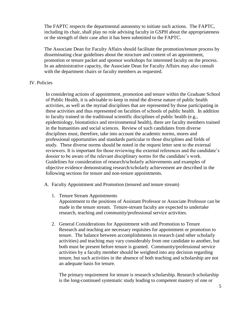The FAPTC respects the departmental autonomy to initiate such actions. The FAPTC, including its chair, shall play no role advising faculty in GSPH about the appropriateness or the strength of their case after it has been submitted to the FAPTC.

The Associate Dean for Faculty Affairs should facilitate the promotion/tenure process by disseminating clear guidelines about the structure and content of an appointment, promotion or tenure packet and sponsor workshops for interested faculty on the process. In an administrative capacity, the Associate Dean for Faculty Affairs may also consult with the department chairs or faculty members as requested.

#### IV. Policies

In considering actions of appointment, promotion and tenure within the Graduate School of Public Health, it is advisable to keep in mind the diverse nature of public health activities, as well as the myriad disciplines that are represented by those participating in these activities and thus represented on faculties of schools of public health. In addition to faculty trained in the traditional scientific disciplines of public health (e.g., epidemiology, biostatistics and environmental health), there are faculty members trained in the humanities and social sciences. Review of such candidates from diverse disciplines must, therefore, take into account the academic norms, mores and professional opportunities and standards particular to those disciplines and fields of study. These diverse norms should be noted in the request letter sent to the external reviewers. It is important for those reviewing the external references and the candidate's dossier to be aware of the relevant disciplinary norms for the candidate's work. Guidelines for consideration of research/scholarly achievements and examples of objective evidence demonstrating research/scholarly achievement are described in the following sections for tenure and non-tenure appointments.

- A. Faculty Appointment and Promotion (tenured and tenure stream)
	- 1. Tenure Stream Appointments

Appointment to the positions of Assistant Professor or Associate Professor can be made in the tenure stream. Tenure-stream faculty are expected to undertake research, teaching and community/professional service activities.

2. General Considerations for Appointment with and Promotion to Tenure Research and teaching are necessary requisites for appointment or promotion to tenure. The balance between accomplishments in research (and other scholarly activities) and teaching may vary considerably from one candidate to another, but both must be present before tenure is granted. Community/professional service activities by a faculty member should be weighted into any decision regarding tenure, but such activities in the absence of both teaching and scholarship are not an adequate basis for tenure.

The primary requirement for tenure is research scholarship. Research scholarship is the long-continued systematic study leading to competent mastery of one or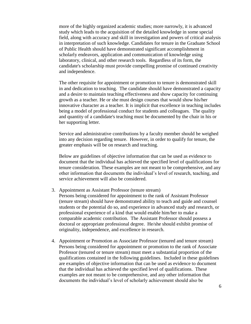more of the highly organized academic studies; more narrowly, it is advanced study which leads to the acquisition of the detailed knowledge in some special field, along with accuracy and skill in investigation and powers of critical analysis in interpretation of such knowledge. Candidates for tenure in the Graduate School of Public Health should have demonstrated significant accomplishment in scholarly endeavors, application and communication of knowledge using laboratory, clinical, and other research tools. Regardless of its form, the candidate's scholarship must provide compelling promise of continued creativity and independence.

The other requisite for appointment or promotion to tenure is demonstrated skill in and dedication to teaching. The candidate should have demonstrated a capacity and a desire to maintain teaching effectiveness and show capacity for continuing growth as a teacher. He or she must design courses that would show his/her innovative character as a teacher. It is implicit that excellence in teaching includes being a model of professional conduct for students and colleagues. The quality and quantity of a candidate's teaching must be documented by the chair in his or her supporting letter.

Service and administrative contributions by a faculty member should be weighed into any decision regarding tenure. However, in order to qualify for tenure, the greater emphasis will be on research and teaching.

Below are guidelines of objective information that can be used as evidence to document that the individual has achieved the specified level of qualifications for tenure consideration. These examples are not meant to be comprehensive, and any other information that documents the individual's level of research, teaching, and service achievement will also be considered.

- 3. Appointment as Assistant Professor (tenure stream) Persons being considered for appointment to the rank of Assistant Professor (tenure stream) should have demonstrated ability to teach and guide and counsel students or the potential do so, and experience in advanced study and research, or professional experience of a kind that would enable him/her to make a comparable academic contribution. The Assistant Professor should possess a doctoral or appropriate professional degree. He/she should exhibit promise of originality, independence, and excellence in research.
- 4. Appointment or Promotion as Associate Professor (tenured and tenure stream) Persons being considered for appointment or promotion to the rank of Associate Professor (tenured or tenure stream) must meet a substantial proportion of the qualifications contained in the following guidelines. Included in these guidelines are examples of objective information that can be used as evidence to document that the individual has achieved the specified level of qualifications. These examples are not meant to be comprehensive, and any other information that documents the individual's level of scholarly achievement should also be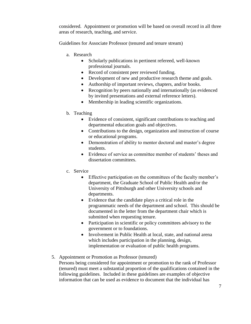considered. Appointment or promotion will be based on overall record in all three areas of research, teaching, and service.

Guidelines for Associate Professor (tenured and tenure stream)

- a. Research
	- Scholarly publications in pertinent refereed, well-known professional journals.
	- Record of consistent peer reviewed funding.
	- Development of new and productive research theme and goals.
	- Authorship of important reviews, chapters, and/or books.
	- Recognition by peers nationally and internationally (as evidenced by invited presentations and external reference letters).
	- Membership in leading scientific organizations.
- b. Teaching
	- Evidence of consistent, significant contributions to teaching and departmental education goals and objectives.
	- Contributions to the design, organization and instruction of course or educational programs.
	- Demonstration of ability to mentor doctoral and master's degree students.
	- Evidence of service as committee member of students' theses and dissertation committees.
- c. Service
	- Effective participation on the committees of the faculty member's department, the Graduate School of Public Health and/or the University of Pittsburgh and other University schools and departments.
	- Evidence that the candidate plays a critical role in the programmatic needs of the department and school. This should be documented in the letter from the department chair which is submitted when requesting tenure.
	- Participation in scientific or policy committees advisory to the government or to foundations.
	- Involvement in Public Health at local, state, and national arena which includes participation in the planning, design, implementation or evaluation of public health programs.
- 5. Appointment or Promotion as Professor (tenured)

Persons being considered for appointment or promotion to the rank of Professor (tenured) must meet a substantial proportion of the qualifications contained in the following guidelines. Included in these guidelines are examples of objective information that can be used as evidence to document that the individual has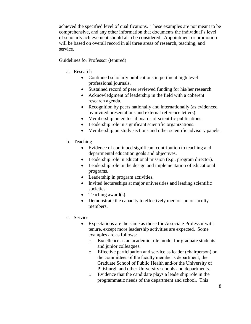achieved the specified level of qualifications. These examples are not meant to be comprehensive, and any other information that documents the individual's level of scholarly achievement should also be considered. Appointment or promotion will be based on overall record in all three areas of research, teaching, and service.

Guidelines for Professor (tenured)

- a. Research
	- Continued scholarly publications in pertinent high level professional journals.
	- Sustained record of peer reviewed funding for his/her research.
	- Acknowledgment of leadership in the field with a coherent research agenda.
	- Recognition by peers nationally and internationally (as evidenced by invited presentations and external reference letters).
	- Membership on editorial boards of scientific publications.
	- Leadership role in significant scientific organizations.
	- Membership on study sections and other scientific advisory panels.
- b. Teaching
	- Evidence of continued significant contribution to teaching and departmental education goals and objectives.
	- Leadership role in educational mission (e.g., program director).
	- Leadership role in the design and implementation of educational programs.
	- Leadership in program activities.
	- Invited lectureships at major universities and leading scientific societies.
	- Teaching award $(s)$ .
	- Demonstrate the capacity to effectively mentor junior faculty members.
- c. Service
	- Expectations are the same as those for Associate Professor with tenure, except more leadership activities are expected. Some examples are as follows:
		- o Excellence as an academic role model for graduate students and junior colleagues.
		- o Effective participation and service as leader (chairperson) on the committees of the faculty member's department, the Graduate School of Public Health and/or the University of Pittsburgh and other University schools and departments.
		- o Evidence that the candidate plays a leadership role in the programmatic needs of the department and school. This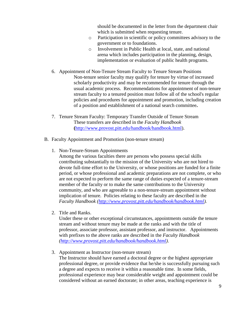should be documented in the letter from the department chair which is submitted when requesting tenure.

- o Participation in scientific or policy committees advisory to the government or to foundations.
- o Involvement in Public Health at local, state, and national arena which includes participation in the planning, design, implementation or evaluation of public health programs.
- 6. Appointment of Non**-**Tenure Stream Faculty to Tenure Stream Positions Non-tenure senior faculty may qualify for tenure by virtue of increased scholarly productivity and may be recommended for tenure through the usual academic process. Recommendations for appointment of non-tenure stream faculty to a tenured position must follow all of the school's regular policies and procedures for appointment and promotion, including creation of a position and establishment of a national search committee**.**
- 7. Tenure Stream Faculty: Temporary Transfer Outside of Tenure Stream These transfers are described in the *Faculty Handbook* **(**[http://www.provost.pitt.edu/handbook/handbook.html\)](http://www.pitt.edu/~provost/handbook.html).
- B. Faculty Appointment and Promotion (non-tenure stream)
	- 1. Non-Tenure-Stream Appointments

Among the various faculties there are persons who possess special skills contributing substantially to the mission of the University who are not hired to devote full-time effort to the University, or whose positions are funded for a finite period, or whose professional and academic preparations are not complete, or who are not expected to perform the same range of duties expected of a tenure-stream member of the faculty or to make the same contributions to the University community, and who are agreeable to a non-tenure-stream appointment without implication of tenure. Policies relating to these faculty are described in the *Faculty Handbook [\(http://www.provost.pitt.edu/handbook/handbook.html\)](http://www.provost.pitt.edu/handbook/handbook.html).* 

2. Title and Ranks.

Under these or other exceptional circumstances, appointments outside the tenure stream and without tenure may be made at the ranks and with the title of professor, associate professor, assistant professor, and instructor. Appointments with prefixes to the above ranks are described in the *Faculty Handbook [\(http://www.provost.pitt.edu/handbook/handbook.html\)](http://www.provost.pitt.edu/handbook/handbook.html)*.

3. Appointment as Instructor (non-tenure stream) The Instructor should have earned a doctoral degree or the highest appropriate professional degree, or provide evidence that he/she is successfully pursuing such a degree and expects to receive it within a reasonable time. In some fields, professional experience may bear considerable weight and appointment could be considered without an earned doctorate; in other areas, teaching experience is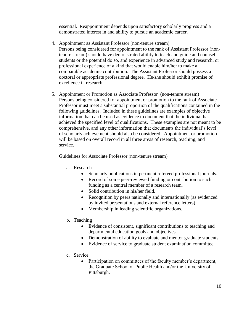essential. Reappointment depends upon satisfactory scholarly progress and a demonstrated interest in and ability to pursue an academic career.

- 4. Appointment as Assistant Professor (non-tenure stream) Persons being considered for appointment to the rank of Assistant Professor (nontenure stream) should have demonstrated ability to teach and guide and counsel students or the potential do so, and experience in advanced study and research, or professional experience of a kind that would enable him/her to make a comparable academic contribution. The Assistant Professor should possess a doctoral or appropriate professional degree. He/she should exhibit promise of excellence in research.
- 5. Appointment or Promotion as Associate Professor (non-tenure stream) Persons being considered for appointment or promotion to the rank of Associate Professor must meet a substantial proportion of the qualifications contained in the following guidelines. Included in these guidelines are examples of objective information that can be used as evidence to document that the individual has achieved the specified level of qualifications. These examples are not meant to be comprehensive, and any other information that documents the individual's level of scholarly achievement should also be considered. Appointment or promotion will be based on overall record in all three areas of research, teaching, and service.

Guidelines for Associate Professor (non-tenure stream)

- a. Research
	- Scholarly publications in pertinent refereed professional journals.
	- Record of some peer-reviewed funding or contribution to such funding as a central member of a research team.
	- Solid contribution in his/her field.
	- Recognition by peers nationally and internationally (as evidenced by invited presentations and external reference letters).
	- Membership in leading scientific organizations.
- b. Teaching
	- Evidence of consistent, significant contributions to teaching and departmental education goals and objectives.
	- Demonstration of ability to evaluate and mentor graduate students.
	- Evidence of service to graduate student examination committee.
- c. Service
	- Participation on committees of the faculty member's department, the Graduate School of Public Health and/or the University of Pittsburgh.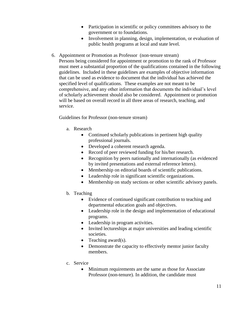- Participation in scientific or policy committees advisory to the government or to foundations.
- Involvement in planning, design, implementation, or evaluation of public health programs at local and state level.
- 6. Appointment or Promotion as Professor (non-tenure stream) Persons being considered for appointment or promotion to the rank of Professor must meet a substantial proportion of the qualifications contained in the following guidelines. Included in these guidelines are examples of objective information that can be used as evidence to document that the individual has achieved the specified level of qualifications. These examples are not meant to be comprehensive, and any other information that documents the individual's level of scholarly achievement should also be considered. Appointment or promotion will be based on overall record in all three areas of research, teaching, and service.

Guidelines for Professor (non-tenure stream)

- a. Research
	- Continued scholarly publications in pertinent high quality professional journals.
	- Developed a coherent research agenda.
	- Record of peer reviewed funding for his/her research.
	- Recognition by peers nationally and internationally (as evidenced by invited presentations and external reference letters).
	- Membership on editorial boards of scientific publications.
	- Leadership role in significant scientific organizations.
	- Membership on study sections or other scientific advisory panels.
- b. Teaching
	- Evidence of continued significant contribution to teaching and departmental education goals and objectives.
	- Leadership role in the design and implementation of educational programs.
	- Leadership in program activities.
	- Invited lectureships at major universities and leading scientific societies.
	- Teaching award $(s)$ .
	- Demonstrate the capacity to effectively mentor junior faculty members.
- c. Service
	- Minimum requirements are the same as those for Associate Professor (non-tenure). In addition, the candidate must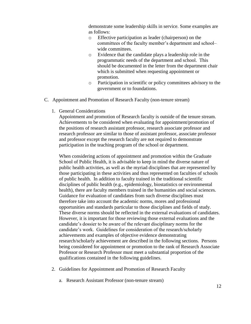demonstrate some leadership skills in service. Some examples are as follows:

- o Effective participation as leader (chairperson) on the committees of the faculty member's department and school– wide committees.
- o Evidence that the candidate plays a leadership role in the programmatic needs of the department and school. This should be documented in the letter from the department chair which is submitted when requesting appointment or promotion.
- o Participation in scientific or policy committees advisory to the government or to foundations.
- C. Appointment and Promotion of Research Faculty (non-tenure stream)
	- 1. General Considerations

Appointment and promotion of Research faculty is outside of the tenure stream. Achievements to be considered when evaluating for appointment/promotion of the positions of research assistant professor, research associate professor and research professor are similar to those of assistant professor, associate professor and professor except the research faculty are not required to demonstrate participation in the teaching program of the school or department.

When considering actions of appointment and promotion within the Graduate School of Public Health, it is advisable to keep in mind the diverse nature of public health activities, as well as the myriad disciplines that are represented by those participating in these activities and thus represented on faculties of schools of public health. In addition to faculty trained in the traditional scientific disciplines of public health (e.g., epidemiology, biostatistics or environmental health), there are faculty members trained in the humanities and social sciences. Guidance for evaluation of candidates from such diverse disciplines must therefore take into account the academic norms, mores and professional opportunities and standards particular to those disciplines and fields of study. These diverse norms should be reflected in the external evaluations of candidates. However, it is important for those reviewing those external evaluations and the candidate's dossier to be aware of the relevant disciplinary norms for the candidate's work. Guidelines for consideration of the research/scholarly achievements and examples of objective evidence demonstrating research/scholarly achievement are described in the following sections. Persons being considered for appointment or promotion to the rank of Research Associate Professor or Research Professor must meet a substantial proportion of the qualifications contained in the following guidelines.

- 2. Guidelines for Appointment and Promotion of Research Faculty
	- a. Research Assistant Professor (non-tenure stream)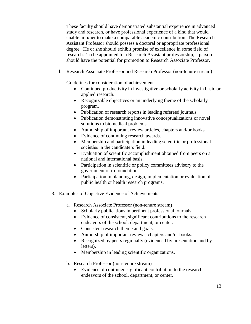These faculty should have demonstrated substantial experience in advanced study and research, or have professional experience of a kind that would enable him/her to make a comparable academic contribution. The Research Assistant Professor should possess a doctoral or appropriate professional degree. He or she should exhibit promise of excellence in some field of research. To be appointed to a Research Assistant professorship, a person should have the potential for promotion to Research Associate Professor.

b. Research Associate Professor and Research Professor (non-tenure stream)

Guidelines for consideration of achievement

- Continued productivity in investigative or scholarly activity in basic or applied research.
- Recognizable objectives or an underlying theme of the scholarly program.
- Publication of research reports in leading refereed journals.
- Publication demonstrating innovative conceptualizations or novel solutions to biomedical problems.
- Authorship of important review articles, chapters and/or books.
- Evidence of continuing research awards.
- Membership and participation in leading scientific or professional societies in the candidate's field.
- Evaluation of scientific accomplishment obtained from peers on a national and international basis.
- Participation in scientific or policy committees advisory to the government or to foundations.
- Participation in planning, design, implementation or evaluation of public health or health research programs.
- 3. Examples of Objective Evidence of Achievements
	- a. Research Associate Professor (non-tenure stream)
		- Scholarly publications in pertinent professional journals.
		- Evidence of consistent, significant contributions to the research endeavors of the school, department, or center.
		- Consistent research theme and goals.
		- Authorship of important reviews, chapters and/or books.
		- Recognized by peers regionally (evidenced by presentation and by letters).
		- Membership in leading scientific organizations.
	- b. Research Professor (non-tenure stream)
		- Evidence of continued significant contribution to the research endeavors of the school, department, or center.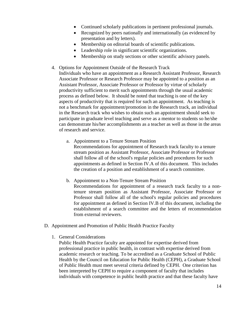- Continued scholarly publications in pertinent professional journals.
- Recognized by peers nationally and internationally (as evidenced by presentation and by letters).
- Membership on editorial boards of scientific publications.
- Leadership role in significant scientific organizations.
- Membership on study sections or other scientific advisory panels.
- 4. Options for Appointment Outside of the Research Track

Individuals who have an appointment as a Research Assistant Professor, Research Associate Professor or Research Professor may be appointed to a position as an Assistant Professor, Associate Professor or Professor by virtue of scholarly productivity sufficient to merit such appointments through the usual academic process as defined below. It should be noted that teaching is one of the key aspects of productivity that is required for such an appointment. As teaching is not a benchmark for appointment/promotion in the Research track, an individual in the Research track who wishes to obtain such an appointment should seek to participate in graduate level teaching and serve as a mentor to students so he/she can demonstrate his/her accomplishments as a teacher as well as those in the areas of research and service.

a. Appointment to a Tenure Stream Position

Recommendations for appointment of Research track faculty to a tenure stream position as Assistant Professor, Associate Professor or Professor shall follow all of the school's regular policies and procedures for such appointments as defined in Section IV.A of this document. This includes the creation of a position and establishment of a search committee.

- b. Appointment to a Non-Tenure Stream Position Recommendations for appointment of a research track faculty to a nontenure stream position as Assistant Professor, Associate Professor or Professor shall follow all of the school's regular policies and procedures for appointment as defined in Section IV.B of this document, including the establishment of a search committee and the letters of recommendation from external reviewers.
- D. Appointment and Promotion of Public Health Practice Faculty
	- 1. General Considerations

Public Health Practice faculty are appointed for expertise derived from professional practice in public health, in contrast with expertise derived from academic research or teaching. To be accredited as a Graduate School of Public Health by the Council on Education for Public Health (CEPH), a Graduate School of Public Health must meet several criteria defined by CEPH. One criterion has been interpreted by CEPH to require a component of faculty that includes individuals with competence in public health practice and that these faculty have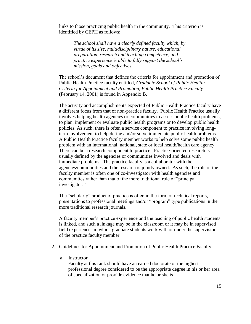links to those practicing public health in the community. This criterion is identified by CEPH as follows:

*The school shall have a clearly defined faculty which, by virtue of its size, multidisciplinary nature, educational preparation, research and teaching competence, and practice experience is able to fully support the school's mission, goals and objectives.*

The school's document that defines the criteria for appointment and promotion of Public Health Practice faculty entitled, *Graduate School of Public Health: Criteria for Appointment and Promotion, Public Health Practice Faculty* (February 14, 2001) is found in Appendix B.

The activity and accomplishments expected of Public Health Practice faculty have a different focus from that of non-practice faculty. Public Health Practice usually involves helping health agencies or communities to assess public health problems, to plan, implement or evaluate public health programs or to develop public health policies. As such, there is often a service component to practice involving longterm involvement to help define and/or solve immediate public health problems. A Public Health Practice faculty member works to help solve some public health problem with an international, national, state or local health/health care agency. There can be a research component to practice. Practice-oriented research is usually defined by the agencies or communities involved and deals with immediate problems. The practice faculty is a collaborator with the agencies/communities and the research is jointly owned. As such, the role of the faculty member is often one of co-investigator with health agencies and communities rather than that of the more traditional role of "principal investigator."

The "scholarly" product of practice is often in the form of technical reports, presentations to professional meetings and/or "program" type publications in the more traditional research journals.

A faculty member's practice experience and the teaching of public health students is linked, and such a linkage may be in the classroom or it may be in supervised field experiences in which graduate students work with or under the supervision of the practice faculty member.

- 2. Guidelines for Appointment and Promotion of Public Health Practice Faculty
	- a. Instructor

Faculty at this rank should have an earned doctorate or the highest professional degree considered to be the appropriate degree in his or her area of specialization or provide evidence that he or she is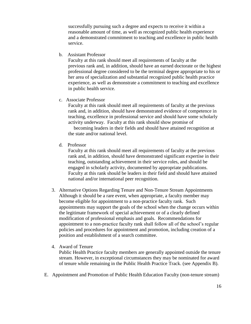successfully pursuing such a degree and expects to receive it within a reasonable amount of time, as well as recognized public health experience and a demonstrated commitment to teaching and excellence in public health service.

b.Assistant Professor

Faculty at this rank should meet all requirements of faculty at the previous rank and, in addition, should have an earned doctorate or the highest professional degree considered to be the terminal degree appropriate to his or her area of specialization and substantial recognized public health practice experience, as well as demonstrate a commitment to teaching and excellence in public health service.

c.Associate Professor

Faculty at this rank should meet all requirements of faculty at the previous rank and, in addition, should have demonstrated evidence of competence in teaching, excellence in professional service and should have some scholarly activity underway. Faculty at this rank should show promise of

becoming leaders in their fields and should have attained recognition at the state and/or national level.

d. Professor

Faculty at this rank should meet all requirements of faculty at the previous rank and, in addition, should have demonstrated significant expertise in their teaching, outstanding achievement in their service roles, and should be engaged in scholarly activity, documented by appropriate publications. Faculty at this rank should be leaders in their field and should have attained national and/or international peer recognition.

- 3. Alternative Options Regarding Tenure and Non-Tenure Stream Appointments Although it should be a rare event, when appropriate, a faculty member may become eligible for appointment to a non-practice faculty rank. Such appointments may support the goals of the school when the change occurs within the legitimate framework of special achievement or of a clearly defined modification of professional emphasis and goals. Recommendations for appointment to a non-practice faculty rank shall follow all of the school's regular policies and procedures for appointment and promotion, including creation of a position and establishment of a search committee.
- 4. Award of Tenure

Public Health Practice faculty members are generally appointed outside the tenure stream. However, in exceptional circumstances they may be nominated for award of tenure while remaining in the Public Health Practice Track. (see Appendix B).

E. Appointment and Promotion of Public Health Education Faculty (non-tenure stream)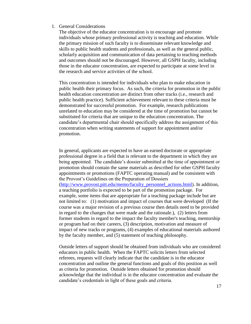#### 1. General Considerations

The objective of the educator concentration is to encourage and promote individuals whose primary professional activity is teaching and education. While the primary mission of such faculty is to disseminate relevant knowledge and skills to public health students and professionals, as well as the general public, scholarly acquisition and communication of data pertaining to teaching methods and outcomes should not be discouraged. However, all GSPH faculty, including those in the educator concentration, are expected to participate at some level in the research and service activities of the school.

This concentration is intended for individuals who plan to make education in public health their primary focus. As such, the criteria for promotion in the public health education concentration are distinct from other tracks (i.e., research and public health practice). Sufficient achievement relevant to these criteria must be demonstrated for successful promotion. For example, research publications unrelated to education may be considered at the time of promotion but cannot be substituted for criteria that are unique to the education concentration. The candidate's departmental chair should specifically address the assignment of this concentration when writing statements of support for appointment and/or promotion.

In general, applicants are expected to have an earned doctorate or appropriate professional degree in a field that is relevant to the department in which they are being appointed. The candidate's dossier submitted at the time of appointment or promotion should contain the same materials as described for other GSPH faculty appointments or promotions (FAPTC operating manual) and be consistent with the Provost's Guidelines on the Preparation of Dossiers [\(http://www.provost.pitt.edu/memo/faculty\\_personnel\\_actions.html\)](http://www.provost.pitt.edu/memo/faculty_personnel_actions.html). In addition, a teaching portfolio is expected to be part of the promotion package. For example, some items that are appropriate for a teaching package include but are not limited to: (1) motivation and impact of courses that were developed (If the course was a major revision of a previous course then details need to be provided in regard to the changes that were made and the rationale.), (2) letters from former students in regard to the impact the faculty member's teaching, mentorship or program had on their careers, (3) description, motivation and measure of impact of new tracks or programs, (4) examples of educational materials authored by the faculty member, and (5) statement of teaching philosophy.

Outside letters of support should be obtained from individuals who are considered educators in public health. When the FAPTC solicits letters from selected referees, requests will clearly indicate that the candidate is in the educator concentration and outline the general functions and goals of this position as well as criteria for promotion. Outside letters obtained for promotion should acknowledge that the individual is in the educator concentration and evaluate the candidate's credentials in light of these goals and criteria.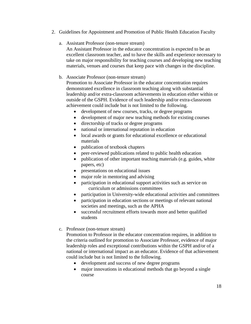- 2. Guidelines for Appointment and Promotion of Public Health Education Faculty
	- a. Assistant Professor (non-tenure stream)

An Assistant Professor in the educator concentration is expected to be an excellent classroom teacher, and to have the skills and experience necessary to take on major responsibility for teaching courses and developing new teaching materials, venues and courses that keep pace with changes in the discipline.

#### b. Associate Professor (non-tenure stream)

Promotion to Associate Professor in the educator concentration requires demonstrated excellence in classroom teaching along with substantial leadership and/or extra-classroom achievements in education either within or outside of the GSPH. Evidence of such leadership and/or extra-classroom achievement could include but is not limited to the following.

- development of new courses, tracks, or degree programs
- development of major new teaching methods for existing courses
- directorship of tracks or degree programs
- national or international reputation in education
- local awards or grants for educational excellence or educational materials
- publication of textbook chapters
- peer-reviewed publications related to public health education
- publication of other important teaching materials (e.g. guides, white papers, etc)
- presentations on educational issues
- major role in mentoring and advising
- participation in educational support activities such as service on curriculum or admissions committees
- participation in University-wide educational activities and committees
- participation in education sections or meetings of relevant national societies and meetings, such as the APHA
- successful recruitment efforts towards more and better qualified students
- c. Professor (non-tenure stream)

Promotion to Professor in the educator concentration requires, in addition to the criteria outlined for promotion to Associate Professor, evidence of major leadership roles and exceptional contributions within the GSPH and/or of a national or international impact as an educator. Evidence of that achievement could include but is not limited to the following.

- development and success of new degree programs
- major innovations in educational methods that go beyond a single course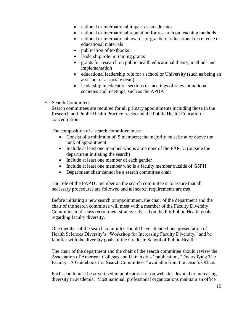- national or international impact as an educator
- national or international reputation for research on teaching methods
- national or international awards or grants for educational excellence or educational materials
- publication of textbooks
- leadership role in training grants
- grants for research on public health educational theory, methods and implementation
- educational leadership role for a school or University (such as being an assistant or associate dean)
- leadership in education sections or meetings of relevant national societies and meetings, such as the APHA
- F. Search Committees

Search committees are required for all primary appointments including those in the Research and Public Health Practice tracks and the Public Health Education concentration.

The composition of a search committee must:

- Consist of a minimum of 5 members; the majority must be at or above the rank of appointment
- Include at least one member who is a member of the FAPTC (outside the department initiating the search)
- Include at least one member of each gender
- Include at least one member who is a faculty member outside of GSPH
- Department chair cannot be a search committee chair

The role of the FAPTC member on the search committee is to assure that all necessary procedures are followed and all search requirements are met.

Before initiating a new search or appointment, the chair of the department and the chair of the search committee will meet with a member of the Faculty Diversity Committee to discuss recruitment strategies based on the Pitt Public Health goals regarding faculty diversity.

One member of the search committee should have attended one presentation of Health Sciences Diversity's "Workshop for Increasing Faculty Diversity," and be familiar with the diversity goals of the Graduate School of Public Health.

The chair of the department and the chair of the search committee should review the Association of American Colleges and Universities' publication, "Diversifying The Faculty: A Guidebook For Search Committees," available from the Dean's Office.

Each search must be advertised in publications or on websites devoted to increasing diversity in academia. Most national, professional organizations maintain an office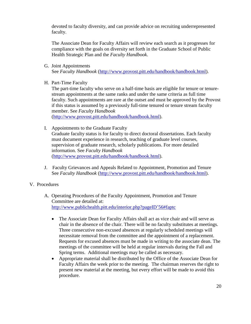devoted to faculty diversity, and can provide advice on recruiting underrepresented faculty.

The Associate Dean for Faculty Affairs will review each search as it progresses for compliance with the goals on diversity set forth in the Graduate School of Public Health Strategic Plan and the *Faculty Handbook*.

- G. Joint Appointments See *Faculty Handbook* [\(http://www.provost.pitt.edu/handbook/handbook.html\)](http://www.provost.pitt.edu/handbook/handbook.html).
- H. Part-Time Faculty

The part-time faculty who serve on a half-time basis are eligible for tenure or tenurestream appointments at the same ranks and under the same criteria as full time faculty. Such appointments are rare at the outset and must be approved by the Provost if this status is assumed by a previously full-time tenured or tenure stream faculty member. See *Faculty Handbook*

[\(http://www.provost.pitt.edu/handbook/handbook.html\)](http://www.provost.pitt.edu/handbook/handbook.html).

I. Appointments to the Graduate Faculty

Graduate faculty status is for faculty to direct doctoral dissertations. Each faculty must document experience in research, teaching of graduate level courses, supervision of graduate research, scholarly publications. For more detailed information. See *Faculty Handbook* [\(http://www.provost.pitt.edu/handbook/handbook.html\)](http://www.pitt.edu/~provost/handbook.html).

J. Faculty Grievances and Appeals Related to Appointment, Promotion and Tenure See *Faculty Handbook* [\(http://www.provost.pitt.edu/handbook/handbook.html\)](http://www.pitt.edu/~provost/handbook.html).

#### V. Procedures

- A. Operating Procedures of the Faculty Appointment, Promotion and Tenure Committee are detailed at: [http://www.publichealth.pitt.edu/interior.php?pageID'56#faptc](http://www.publichealth.pitt.edu/interior.php?pageID=56#faptc)
	- The Associate Dean for Faculty Affairs shall act as vice chair and will serve as chair in the absence of the chair. There will be no faculty substitutes at meetings. Three consecutive non-excused absences at regularly scheduled meetings will necessitate removal from the committee and the appointment of a replacement. Requests for excused absences must be made in writing to the associate dean. The meetings of the committee will be held at regular intervals during the Fall and Spring terms. Additional meetings may be called as necessary.
	- Appropriate material shall be distributed by the Office of the Associate Dean for Faculty Affairs the week prior to the meeting. The chairman reserves the right to present new material at the meeting, but every effort will be made to avoid this procedure.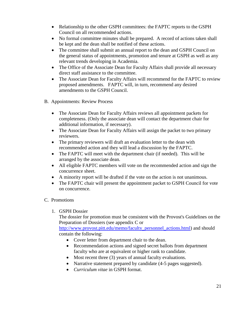- Relationship to the other GSPH committees: the FAPTC reports to the GSPH Council on all recommended actions.
- No formal committee minutes shall be prepared. A record of actions taken shall be kept and the dean shall be notified of these actions.
- The committee shall submit an annual report to the dean and GSPH Council on the general status of appointments, promotion and tenure at GSPH as well as any relevant trends developing in Academia.
- The Office of the Associate Dean for Faculty Affairs shall provide all necessary direct staff assistance to the committee.
- The Associate Dean for Faculty Affairs will recommend for the FAPTC to review proposed amendments. FAPTC will, in turn, recommend any desired amendments to the GSPH Council.
- B. Appointments: Review Process
	- The Associate Dean for Faculty Affairs reviews all appointment packets for completeness. (Only the associate dean will contact the department chair for additional information, if necessary).
	- The Associate Dean for Faculty Affairs will assign the packet to two primary reviewers.
	- The primary reviewers will draft an evaluation letter to the dean with recommended action and they will lead a discussion by the FAPTC.
	- The FAPTC will meet with the department chair (if needed). This will be arranged by the associate dean.
	- All eligible FAPTC members will vote on the recommended action and sign the concurrence sheet.
	- A minority report will be drafted if the vote on the action is not unanimous.
	- The FAPTC chair will present the appointment packet to GSPH Council for vote on concurrence.

### C. Promotions

1. GSPH Dossier

The dossier for promotion must be consistent with the Provost's Guidelines on the Preparation of Dossiers (see appendix C or

[http://www.provost.pitt.edu/memo/faculty\\_personnel\\_actions.html\)](http://www.provost.pitt.edu/memo/faculty_personnel_actions.html) and should contain the following:

- Cover letter from department chair to the dean.
- Recommendation actions and signed secret ballots from department faculty who are at equivalent or higher rank to candidate.
- Most recent three (3) years of annual faculty evaluations.
- Narrative statement prepared by candidate (4-5 pages suggested).
- *Curriculum vitae* in GSPH format.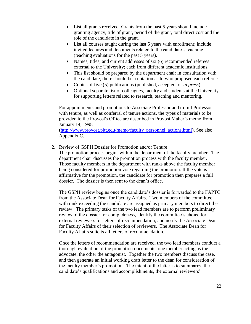- List all grants received. Grants from the past 5 years should include granting agency, title of grant, period of the grant, total direct cost and the role of the candidate in the grant.
- List all courses taught during the last 5 years with enrollment; include invited lectures and documents related to the candidate's teaching (teaching evaluations for the past 5 years).
- Names, titles, and current addresses of six (6) recommended referees external to the University; each from different academic institutions.
- This list should be prepared by the department chair in consultation with the candidate; there should be a notation as to who proposed each referee.
- Copies of five (5) publications (published, accepted, or *in press*).
- Optional separate list of colleagues, faculty and students at the University for supporting letters related to research, teaching and mentoring.

For appointments and promotions to Associate Professor and to full Professor with tenure, as well as conferral of tenure actions, the types of materials to be provided to the Provost's Office are described in Provost Maher's memo from January 14, 1998

[\(http://www.provost.pitt.edu/memo/faculty\\_personnel\\_actions.html\)](http://www.provost.pitt.edu/memo/faculty_personnel_actions.html). See also Appendix C.

2. Review of GSPH Dossier for Promotion and/or Tenure

The promotion process begins within the department of the faculty member. The department chair discusses the promotion process with the faculty member. Those faculty members in the department with ranks above the faculty member being considered for promotion vote regarding the promotion. If the vote is affirmative for the promotion, the candidate for promotion then prepares a full dossier. The dossier is then sent to the dean's office.

The GSPH review begins once the candidate's dossier is forwarded to the FAPTC from the Associate Dean for Faculty Affairs. Two members of the committee with rank exceeding the candidate are assigned as primary members to direct the review. The primary tasks of the two lead members are to perform preliminary review of the dossier for completeness, identify the committee's choice for external reviewers for letters of recommendation, and notify the Associate Dean for Faculty Affairs of their selection of reviewers. The Associate Dean for Faculty Affairs solicits all letters of recommendation.

Once the letters of recommendation are received, the two lead members conduct a thorough evaluation of the promotion documents: one member acting as the advocate, the other the antagonist. Together the two members discuss the case, and then generate an initial working draft letter to the dean for consideration of the faculty member's promotion. The intent of the letter is to summarize the candidate's qualifications and accomplishments, the external reviewers'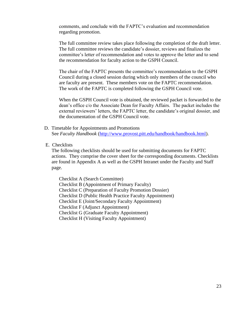comments, and conclude with the FAPTC's evaluation and recommendation regarding promotion.

The full committee review takes place following the completion of the draft letter. The full committee reviews the candidate's dossier, reviews and finalizes the committee's letter of recommendation and votes to approve the letter and to send the recommendation for faculty action to the GSPH Council.

The chair of the FAPTC presents the committee's recommendation to the GSPH Council during a closed session during which only members of the council who are faculty are present. These members vote on the FAPTC recommendation. The work of the FAPTC is completed following the GSPH Council vote.

When the GSPH Council vote is obtained, the reviewed packet is forwarded to the dean's office c/o the Associate Dean for Faculty Affairs. The packet includes the external reviewers' letters, the FAPTC letter, the candidate's original dossier, and the documentation of the GSPH Council vote.

- D. Timetable for Appointments and Promotions See *Faculty Handbook* [\(http://www.provost.pitt.edu/handbook/handbook.html\)](http://www.provost.pitt.edu/handbook/handbook.html).
- E. Checklists

The following checklists should be used for submitting documents for FAPTC actions. They comprise the cover sheet for the corresponding documents. Checklists are found in Appendix A as well as the GSPH Intranet under the Faculty and Staff page.

Checklist A (Search Committee) Checklist B (Appointment of Primary Faculty) Checklist C (Preparation of Faculty Promotion Dossier) Checklist D (Public Health Practice Faculty Appointment) Checklist E (Joint/Secondary Faculty Appointment) Checklist F (Adjunct Appointment) Checklist G (Graduate Faculty Appointment) Checklist H (Visiting Faculty Appointment)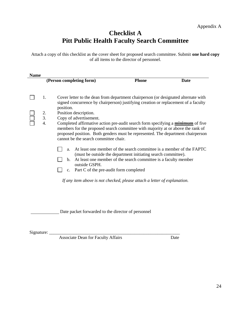# **Checklist A Pitt Public Health Faculty Search Committee**

Attach a copy of this checklist as the cover sheet for proposed search committee. Submit **one hard copy** of all items to the director of personnel.

| <b>Name</b> |                      |                                                                                                                                                                                                                                                                                                                                                                                                                                                                                                                                                                 |                                                                                                                                                                                                          |      |
|-------------|----------------------|-----------------------------------------------------------------------------------------------------------------------------------------------------------------------------------------------------------------------------------------------------------------------------------------------------------------------------------------------------------------------------------------------------------------------------------------------------------------------------------------------------------------------------------------------------------------|----------------------------------------------------------------------------------------------------------------------------------------------------------------------------------------------------------|------|
|             |                      | (Person completing form)                                                                                                                                                                                                                                                                                                                                                                                                                                                                                                                                        | <b>Phone</b>                                                                                                                                                                                             | Date |
|             | 1.<br>2.<br>3.<br>4. | Cover letter to the dean from department chairperson (or designated alternate with<br>signed concurrence by chairperson) justifying creation or replacement of a faculty<br>position.<br>Position description.<br>Copy of advertisement.<br>Completed affirmative action pre-audit search form specifying a minimum of five<br>members for the proposed search committee with majority at or above the rank of<br>proposed position. Both genders must be represented. The department chairperson<br>cannot be the search committee chair.<br>a.<br>$b_{\cdot}$ | At least one member of the search committee is a member of the FAPTC<br>(must be outside the department initiating search committee).<br>At least one member of the search committee is a faculty member |      |
|             |                      | outside GSPH.<br>c. Part C of the pre-audit form completed                                                                                                                                                                                                                                                                                                                                                                                                                                                                                                      |                                                                                                                                                                                                          |      |
|             |                      | If any item above is not checked, please attach a letter of explanation.                                                                                                                                                                                                                                                                                                                                                                                                                                                                                        |                                                                                                                                                                                                          |      |
|             |                      | Date packet forwarded to the director of personnel                                                                                                                                                                                                                                                                                                                                                                                                                                                                                                              |                                                                                                                                                                                                          |      |
| Signature:  |                      |                                                                                                                                                                                                                                                                                                                                                                                                                                                                                                                                                                 |                                                                                                                                                                                                          |      |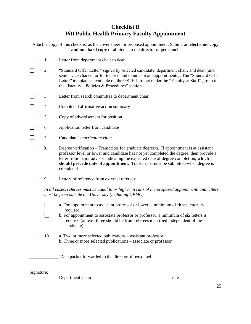### **Checklist B Pitt Public Health Primary Faculty Appointment**

| Attach a copy of this checklist as the cover sheet for proposed appointment. Submit an <b>electronic copy</b> |
|---------------------------------------------------------------------------------------------------------------|
| and one hard copy of all items to the director of personnel.                                                  |

- $\Box$ 1. Letter from department chair to dean
- $\Box$ 2. "Standard Offer Letter" signed by selected candidate, department chair, and dean (and senior vice chancellor for tenured and tenure stream appointments). The "Standard Offer Letter" template is available on the GSPH Intranet under the "Faculty  $\&$  Staff" group in the "Faculty – Policies & Procedures" section.
- $\Box$ 3. Letter from search committee to department chair
- $\Box$ 4. Completed affirmative action summary
- $\Box$ 5. Copy of advertisement for position
- $\Box$ 6. Application letter from candidate
- $\Box$ 7. Candidate's *curriculum vitae*
- 8. Degree verification Transcripts for graduate degree/s. If appointment is at assistant professor level or lower and candidate has not yet completed the degree, then provide a letter from major advisor indicating the expected date of degree completion, **which should precede date of appointment**. Transcripts must be submitted when degree is completed.
- $\Box$ 9. Letters of reference from external referees:

*In all cases, referees must be equal to or higher in rank of the proposed appointment, and letters must be from outside the University (including UPMC).* 

- П a. For appointment to assistant professor or lower, a minimum of **three** letters is required.
	- b. For appointment to associate professor or professor, a minimum of **six** letters is required (at least three should be from referees identified independent of the candidate).
- $\Box$ 10. a. Two or more selected publications – assistant professor b. Three or more selected publications – associate or professor

Date packet forwarded to the director of personnel

 $Signature:$ 

 $\Box$ 

Department Chair Date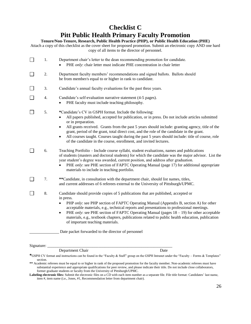# **Checklist C Pitt Public Health Primary Faculty Promotion**

#### **Tenure/Non-Tenure, Research, Public Health Practice (PHP), or Public Health Education (PHE)**

Attach a copy of this checklist as the cover sheet for proposed promotion. Submit an electronic copy AND one hard copy of all items to the director of personnel.

| 1. | Department chair's letter to the dean recommending promotion for candidate.<br>PHE only: chair letter must indicate PHE concentration in chair letter                                                                                                                                                                                                                                                                                                                                                                                                                                                               |
|----|---------------------------------------------------------------------------------------------------------------------------------------------------------------------------------------------------------------------------------------------------------------------------------------------------------------------------------------------------------------------------------------------------------------------------------------------------------------------------------------------------------------------------------------------------------------------------------------------------------------------|
| 2. | Department faculty members' recommendations and signed ballots. Ballots should<br>be from member/s equal to or higher in rank to candidate.                                                                                                                                                                                                                                                                                                                                                                                                                                                                         |
| 3. | Candidate's annual faculty evaluations for the past three years.                                                                                                                                                                                                                                                                                                                                                                                                                                                                                                                                                    |
| 4. | Candidate's self-evaluation narrative statement (4-5 pages).<br>PHE faculty must include teaching philosophy.<br>$\bullet$                                                                                                                                                                                                                                                                                                                                                                                                                                                                                          |
| 5. | *Candidate's CV in GSPH format. Include the following:<br>All papers published, accepted for publication, or in press. Do not include articles submitted<br>$\bullet$<br>or in preparation.<br>All grants received. Grants from the past 5 years should include: granting agency, title of the<br>$\bullet$<br>grant, period of the grant, total direct cost, and the role of the candidate in the grant.<br>All courses taught. Courses taught during the past 5 years should include: title of course, role<br>$\bullet$<br>of the candidate in the course, enrollment, and invited lectures.                     |
| 6. | Teaching Portfolio - Include course syllabi, student evaluations, names and publications<br>of students (masters and doctoral students) for which the candidate was the major advisor. List the<br>year student's degree was awarded, current position, and address after graduation.<br>PHE only: see PHE section of FAPTC Operating Manual (page 17) for additional appropriate<br>$\bullet$<br>materials to include in teaching portfolio.                                                                                                                                                                       |
| 7. | **Candidate, in consultation with the department chair, should list names, titles,<br>and current addresses of 6 referees external to the University of Pittsburgh/UPMC.                                                                                                                                                                                                                                                                                                                                                                                                                                            |
| 8. | Candidate should provide copies of 5 publications that are published, accepted or<br>in press.<br>PHP only: see PHP section of FAPTC Operating Manual (Appendix B, section A) for other<br>$\bullet$<br>acceptable materials, e.g., technical reports and presentations to professional meetings.<br>PHE <i>only</i> : see PHE section of FAPTC Operating Manual (pages $18 - 19$ ) for other acceptable<br>$\bullet$<br>materials, e.g., textbook chapters, publications related to public health education, publication<br>of important teaching materials.<br>Date packet forwarded to the director of personnel |
|    |                                                                                                                                                                                                                                                                                                                                                                                                                                                                                                                                                                                                                     |

Signature:  $\_$ 

Department Chair Date

**\***GSPH CV format and instructions can be found in the "Faculty & Staff" group on the GSPH Intranet under the "Faculty – Forms & Templates" section.

**<sup>\*\*</sup>** Academic referees must be equal to or higher in rank of the proposed promotion for the faculty member. Non-academic referees must have substantial experience and appropriate qualifications for peer review, and please indicate their title. Do not include close collaborators, former graduate students or faculty from the University of Pittsburgh/UPMC.

**Labeling electronic files:** Submit the electronic files on a CD with each item number as a separate file. File title format: Candidates' last name, item #, item name (i.e., Jones, #1, Recommendation letter from department chair).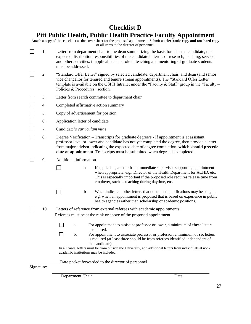### **Checklist D**

### **Pitt Public Health, Public Health Practice Faculty Appointment**

Attach a copy of this checklist as the cover sheet for the proposed appointment. Submit an **electronic copy and one hard copy** of all items to the director of personnel.

- $\Box$ 1. Letter from department chair to the dean summarizing the basis for selected candidate, the expected distribution responsibilities of the candidate in terms of research, teaching, service and other activities, if applicable. The role in teaching and mentoring of graduate students must be addressed.
- $\Box$ 2. "Standard Offer Letter" signed by selected candidate, department chair, and dean (and senior vice chancellor for tenured and tenure stream appointments). The "Standard Offer Letter" template is available on the GSPH Intranet under the "Faculty  $\&$  Staff" group in the "Faculty – Policies & Procedures" section.
- $\Box$ 3. Letter from search committee to department chair
- $\Box$ 4. Completed affirmative action summary
- $\Box$ 5. Copy of advertisement for position
- $\Box$ 6. Application letter of candidate
- $\Box$ 7. Candidate's *curriculum vitae*
- $\Box$ 8. Degree Verification – Transcripts for graduate degree/s - If appointment is at assistant professor level or lower and candidate has not yet completed the degree, then provide a letter from major advisor indicating the expected date of degree completion, **which should precede date of appointment**. Transcripts must be submitted when degree is completed.
- $\Box$ 9. Additional information

 $\Box$ 

 $\Box$ 

- a. If applicable, a letter from immediate supervisor supporting appointment when appropriate, e.g., Director of the Health Department for ACHD, etc. This is especially important if the proposed role requires release time from employer, such as teaching during daytime, etc.
	- b. When indicated, other letters that document qualifications may be sought, e.g. when an appointment is proposed that is based on experience in public health agencies rather than scholarship or academic positions.
- $\Box$ 10. Letters of reference from external referees with academic appointments: Referees must be at the rank or above of the proposed appointment.

|  | For appointment to assistant professor or lower, a minimum of <b>three</b> letters |
|--|------------------------------------------------------------------------------------|
|  | is required.                                                                       |

 $\Box$ b. For appointment to associate professor or professor, a minimum of **six** letters is required (at least three should be from referees identified independent of the candidate).

In all cases, letters must be from outside the University, and additional letters from individuals at nonacademic institutions may be included.

Date packet forwarded to the director of personnel

#### Signature:

Department Chair Date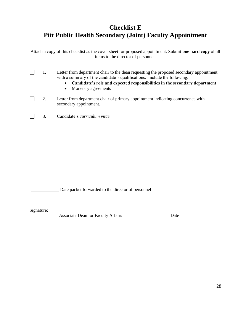# **Checklist E Pitt Public Health Secondary (Joint) Faculty Appointment**

Attach a copy of this checklist as the cover sheet for proposed appointment. Submit **one hard copy** of all items to the director of personnel.

- $\Box$ 1. Letter from department chair to the dean requesting the proposed secondary appointment with a summary of the candidate's qualifications. Include the following:
	- **Candidate's role and expected responsibilities in the secondary department**
	- Monetary agreements
- $\Box$ 2. Letter from department chair of primary appointment indicating concurrence with secondary appointment.
- $\Box$ 3. Candidate's *curriculum vitae*

Date packet forwarded to the director of personnel

Signature: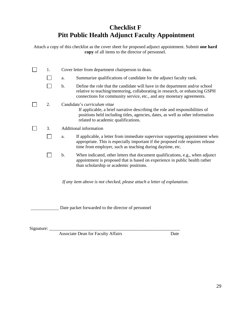# **Checklist F Pitt Public Health Adjunct Faculty Appointment**

Attach a copy of this checklist as the cover sheet for proposed adjunct appointment. Submit **one hard copy** of all items to the director of personnel.

| 1. |    | Cover letter from department chairperson to dean.                                                                                                                                                                                     |
|----|----|---------------------------------------------------------------------------------------------------------------------------------------------------------------------------------------------------------------------------------------|
|    | a. | Summarize qualifications of candidate for the adjunct faculty rank.                                                                                                                                                                   |
|    | b. | Define the role that the candidate will have in the department and/or school<br>relative to teaching/mentoring, collaborating in research, or enhancing GSPH<br>connections for community service, etc., and any monetary agreements. |
| 2. |    | Candidate's curriculum vitae<br>If applicable, a brief narrative describing the role and responsibilities of<br>positions held including titles, agencies, dates, as well as other information<br>related to academic qualifications. |
| 3. |    | Additional information                                                                                                                                                                                                                |
|    | a. | If applicable, a letter from immediate supervisor supporting appointment when<br>appropriate. This is especially important if the proposed role requires release<br>time from employer, such as teaching during daytime, etc.         |
|    | b. | When indicated, other letters that document qualifications, e.g., when adjunct<br>appointment is proposed that is based on experience in public health rather<br>than scholarship or academic positions.                              |
|    |    | If any item above is not checked, please attach a letter of explanation.                                                                                                                                                              |
|    |    |                                                                                                                                                                                                                                       |

Date packet forwarded to the director of personnel

Signature: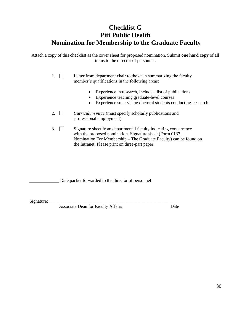### **Checklist G Pitt Public Health Nomination for Membership to the Graduate Faculty**

Attach a copy of this checklist as the cover sheet for proposed nomination. Submit **one hard copy** of all items to the director of personnel.

> 1.  $\Box$  Letter from department chair to the dean summarizing the faculty member's qualifications in the following areas:

- Experience in research, include a list of publications
- Experience teaching graduate-level courses
- Experience supervising doctoral students conducting research
- 2. *Curriculum vitae* (must specify scholarly publications and professional employment)
- 3. Signature sheet from departmental faculty indicating concurrence with the proposed nomination. Signature sheet (Form 0137, Nomination For Membership – The Graduate Faculty) can be found on the Intranet. Please print on three-part paper.

Date packet forwarded to the director of personnel

Signature: \_\_\_\_\_\_\_\_\_\_\_\_\_\_\_\_\_\_\_\_\_\_\_\_\_\_\_\_\_\_\_\_\_\_\_\_\_\_\_\_\_\_\_\_\_\_\_\_\_\_\_\_\_\_\_\_\_\_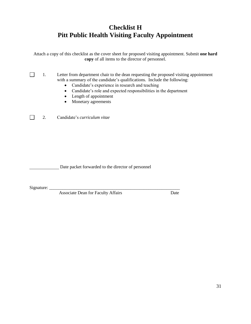# **Checklist H Pitt Public Health Visiting Faculty Appointment**

Attach a copy of this checklist as the cover sheet for proposed visiting appointment. Submit **one hard copy** of all items to the director of personnel.

 $\Box$ 1. Letter from department chair to the dean requesting the proposed visiting appointment with a summary of the candidate's qualifications. Include the following:

- Candidate's experience in research and teaching
- Candidate's role and expected responsibilities in the department
- Length of appointment
- Monetary agreements

 $\Box$ 2. Candidate's *curriculum vitae*

Date packet forwarded to the director of personnel

Signature: \_\_\_\_\_\_\_\_\_\_\_\_\_\_\_\_\_\_\_\_\_\_\_\_\_\_\_\_\_\_\_\_\_\_\_\_\_\_\_\_\_\_\_\_\_\_\_\_\_\_\_\_\_\_\_\_\_\_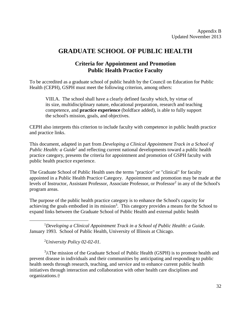### **GRADUATE SCHOOL OF PUBLIC HEALTH**

### **Criteria for Appointment and Promotion Public Health Practice Faculty**

To be accredited as a graduate school of public health by the Council on Education for Public Health (CEPH), GSPH must meet the following criterion, among others:

VIII.A. The school shall have a clearly defined faculty which, by virtue of its size, multidisciplinary nature, educational preparation, research and teaching competence, and **practice experience** (boldface added), is able to fully support the school's mission, goals, and objectives.

CEPH also interprets this criterion to include faculty with competence in public health practice and practice links.

This document, adapted in part from *Developing a Clinical Appointment Track in a School of*  Public Health: a Guide<sup>1</sup> and reflecting current national developments toward a public health practice category, presents the criteria for appointment and promotion of GSPH faculty with public health practice experience.

The Graduate School of Public Health uses the terms "practice" or "clinical" for faculty appointed in a Public Health Practice Category. Appointment and promotion may be made at the levels of Instructor, Assistant Professor, Associate Professor, or Professor<sup>2</sup> in any of the School's program areas.

The purpose of the public health practice category is to enhance the School's capacity for achieving the goals embodied in its mission<sup>3</sup>. This category provides a means for the School to expand links between the Graduate School of Public Health and external public health

<sup>1</sup>*Developing a Clinical Appointment Track in a School of Public Health: a Guide.* January 1993. School of Public Health, University of Illinois at Chicago.

<sup>2</sup>*University Policy 02-02-01.*

 $\overline{a}$ 

<sup>3</sup>AThe mission of the Graduate School of Public Health (GSPH) is to promote health and prevent disease in individuals and their communities by anticipating and responding to public health needs through research, teaching, and service and to enhance current public health initiatives through interaction and collaboration with other health care disciplines and organizations.@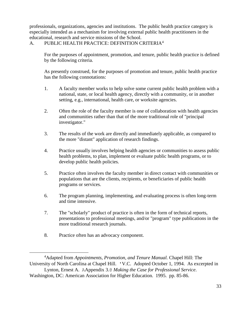professionals, organizations, agencies and institutions. The public health practice category is especially intended as a mechanism for involving external public health practitioners in the educational, research and service missions of the School.

### A. PUBLIC HEALTH PRACTICE: DEFINITION CRITERIA<sup>4</sup>

For the purposes of appointment, promotion, and tenure, public health practice is defined by the following criteria.

As presently construed, for the purposes of promotion and tenure, public health practice has the following connotations:

- 1. A faculty member works to help solve some current public health problem with a national, state, or local health agency, directly with a community, or in another setting, e.g., international, health care, or worksite agencies.
- 2. Often the role of the faculty member is one of collaboration with health agencies and communities rather than that of the more traditional role of "principal investigator."
- 3. The results of the work are directly and immediately applicable, as compared to the more "distant" application of research findings.
- 4. Practice usually involves helping health agencies or communities to assess public health problems, to plan, implement or evaluate public health programs, or to develop public health policies.
- 5. Practice often involves the faculty member in direct contact with communities or populations that are the clients, recipients, or beneficiaries of public health programs or services.
- 6. The program planning, implementing, and evaluating process is often long-term and time intensive.
- 7. The "scholarly" product of practice is often in the form of technical reports, presentations to professional meetings, and/or "program" type publications in the more traditional research journals.
- 8. Practice often has an advocacy component.

 $\overline{a}$ <sup>4</sup>Adapted from *Appointments, Promotion, and Tenure Manual.* Chapel Hill: The University of North Carolina at Chapel Hill. 'V.C. Adopted October 1, 1994. As excerpted in

Lynton, Ernest A. AAppendix 3.@ *Making the Case for Professional Service*. Washington, DC: American Association for Higher Education. 1995. pp. 85-86.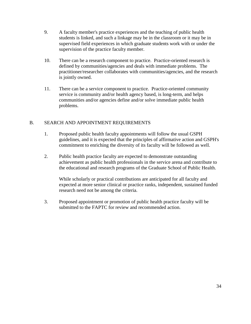- 9. A faculty member's practice experiences and the teaching of public health students is linked, and such a linkage may be in the classroom or it may be in supervised field experiences in which graduate students work with or under the supervision of the practice faculty member.
- 10. There can be a research component to practice. Practice-oriented research is defined by communities/agencies and deals with immediate problems. The practitioner/researcher collaborates with communities/agencies, and the research is jointly owned.
- 11. There can be a service component to practice. Practice-oriented community service is community and/or health agency based, is long-term, and helps communities and/or agencies define and/or solve immediate public health problems.

### B. SEARCH AND APPOINTMENT REQUIREMENTS

- 1. Proposed public health faculty appointments will follow the usual GSPH guidelines, and it is expected that the principles of affirmative action and GSPH's commitment to enriching the diversity of its faculty will be followed as well.
- 2. Public health practice faculty are expected to demonstrate outstanding achievement as public health professionals in the service arena and contribute to the educational and research programs of the Graduate School of Public Health.

While scholarly or practical contributions are anticipated for all faculty and expected at more senior clinical or practice ranks, independent, sustained funded research need not be among the criteria.

3. Proposed appointment or promotion of public health practice faculty will be submitted to the FAPTC for review and recommended action.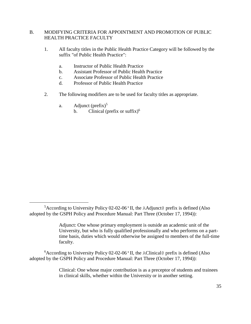### B. MODIFYING CRITERIA FOR APPOINTMENT AND PROMOTION OF PUBLIC HEALTH PRACTICE FACULTY

- 1. All faculty titles in the Public Health Practice Category will be followed by the suffix "of Public Health Practice":
	- a. Instructor of Public Health Practice
	- b. Assistant Professor of Public Health Practice
	- c. Associate Professor of Public Health Practice
	- d. Professor of Public Health Practice
- 2. The following modifiers are to be used for faculty titles as appropriate.
	- a. Adjunct  $(\text{prefix})^5$

 $\overline{a}$ 

b. Clinical (prefix or suffix) $<sup>6</sup>$ </sup>

 $6$ According to University Policy 02-02-06' II, the AClinical@ prefix is defined (Also adopted by the GSPH Policy and Procedure Manual: Part Three (October 17, 1994)):

> Clinical: One whose major contribution is as a preceptor of students and trainees in clinical skills, whether within the University or in another setting.

 ${}^{5}$ According to University Policy 02-02-06' II, the AAdjunct@ prefix is defined (Also adopted by the GSPH Policy and Procedure Manual: Part Three (October 17, 1994)):

Adjunct: One whose primary employment is outside an academic unit of the University, but who is fully qualified professionally and who performs on a parttime basis, duties which would otherwise be assigned to members of the full-time faculty.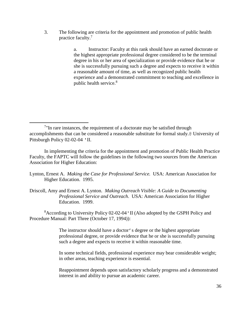3. The following are criteria for the appointment and promotion of public health practice faculty.<sup>7</sup>

> a. Instructor: Faculty at this rank should have an earned doctorate or the highest appropriate professional degree considered to be the terminal degree in his or her area of specialization or provide evidence that he or she is successfully pursuing such a degree and expects to receive it within a reasonable amount of time, as well as recognized public health experience and a demonstrated commitment to teaching and excellence in public health service.<sup>8</sup>

 $\overline{a}$ 

In implementing the criteria for the appointment and promotion of Public Health Practice Faculty, the FAPTC will follow the guidelines in the following two sources from the American Association for Higher Education:

- Lynton, Ernest A. *Making the Case for Professional Service.* USA: American Association for Higher Education. 1995.
- Driscoll, Amy and Ernest A. Lynton. *Making Outreach Visible: A Guide to Documenting Professional Service and Outreach*. USA: American Association for Higher Education. 1999.

<sup>8</sup>According to University Policy 02-02-04'II (Also adopted by the GSPH Policy and Procedure Manual: Part Three (October 17, 1994)):

> The instructor should have a doctor's degree or the highest appropriate professional degree, or provide evidence that he or she is successfully pursuing such a degree and expects to receive it within reasonable time.

In some technical fields, professional experience may bear considerable weight; in other areas, teaching experience is essential.

Reappointment depends upon satisfactory scholarly progress and a demonstrated interest in and ability to pursue an academic career.

 $7$ "In rare instances, the requirement of a doctorate may be satisfied through accomplishments that can be considered a reasonable substitute for formal study.@ University of Pittsburgh Policy 02-02-04 'II.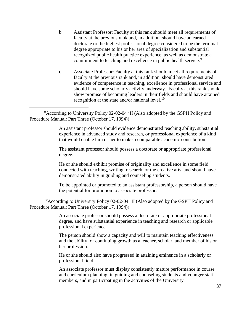- b. Assistant Professor: Faculty at this rank should meet all requirements of faculty at the previous rank and, in addition, should have an earned doctorate or the highest professional degree considered to be the terminal degree appropriate to his or her area of specialization and substantial recognized public health practice experience, as well as demonstrate a commitment to teaching and excellence in public health service.<sup>9</sup>
- c. Associate Professor: Faculty at this rank should meet all requirements of faculty at the previous rank and, in addition, should have demonstrated evidence of competence in teaching, excellence in professional service and should have some scholarly activity underway. Faculty at this rank should show promise of becoming leaders in their fields and should have attained recognition at the state and/or national level. $10$

<sup>9</sup>According to University Policy 02-02-04 'II (Also adopted by the GSPH Policy and Procedure Manual: Part Three (October 17, 1994)):

 $\overline{a}$ 

An assistant professor should evidence demonstrated teaching ability, substantial experience in advanced study and research, or professional experience of a kind that would enable him or her to make a comparable academic contribution.

The assistant professor should possess a doctorate or appropriate professional degree.

He or she should exhibit promise of originality and excellence in some field connected with teaching, writing, research, or the creative arts, and should have demonstrated ability in guiding and counseling students.

To be appointed or promoted to an assistant professorship, a person should have the potential for promotion to associate professor.

<sup>10</sup>According to University Policy 02-02-04  $\cdot$  II (Also adopted by the GSPH Policy and Procedure Manual: Part Three (October 17, 1994)):

> An associate professor should possess a doctorate or appropriate professional degree, and have substantial experience in teaching and research or applicable professional experience.

The person should show a capacity and will to maintain teaching effectiveness and the ability for continuing growth as a teacher, scholar, and member of his or her profession.

He or she should also have progressed in attaining eminence in a scholarly or professional field.

An associate professor must display consistently mature performance in course and curriculum planning, in guiding and counseling students and younger staff members, and in participating in the activities of the University.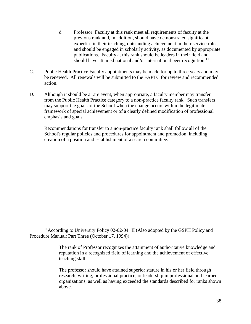- d. Professor: Faculty at this rank meet all requirements of faculty at the previous rank and, in addition, should have demonstrated significant expertise in their teaching, outstanding achievement in their service roles, and should be engaged in scholarly activity, as documented by appropriate publications. Faculty at this rank should be leaders in their field and should have attained national and/or international peer recognition.<sup>11</sup>
- C. Public Health Practice Faculty appointments may be made for up to three years and may be renewed. All renewals will be submitted to the FAPTC for review and recommended action.
- D. Although it should be a rare event, when appropriate, a faculty member may transfer from the Public Health Practice category to a non-practice faculty rank. Such transfers may support the goals of the School when the change occurs within the legitimate framework of special achievement or of a clearly defined modification of professional emphasis and goals.

Recommendations for transfer to a non-practice faculty rank shall follow all of the School's regular policies and procedures for appointment and promotion, including creation of a position and establishment of a search committee.

 $\overline{a}$ 

<sup>&</sup>lt;sup>11</sup> According to University Policy 02-02-04  $\cdot$  II (Also adopted by the GSPH Policy and Procedure Manual: Part Three (October 17, 1994)):

The rank of Professor recognizes the attainment of authoritative knowledge and reputation in a recognized field of learning and the achievement of effective teaching skill.

The professor should have attained superior stature in his or her field through research, writing, professional practice, or leadership in professional and learned organizations, as well as having exceeded the standards described for ranks shown above.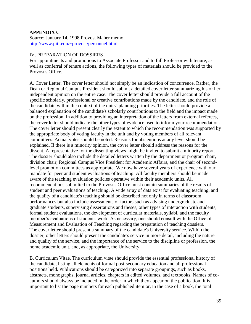### **APPENDIX C**

Source: January 14, 1998 Provost Maher memo <http://www.pitt.edu/~provost/personnel.html>

#### IV. PREPARATION OF DOSSIERS

For appointments and promotions to Associate Professor and to full Professor with tenure, as well as conferral of tenure actions, the following types of materials should be provided to the Provost's Office.

A. Cover Letter. The cover letter should not simply be an indication of concurrence. Rather, the Dean or Regional Campus President should submit a detailed cover letter summarizing his or her independent opinion on the entire case. The cover letter should provide a full account of the specific scholarly, professional or creative contributions made by the candidate, and the role of the candidate within the context of the units' planning priorities. The letter should provide a balanced explanation of the candidate's scholarly contributions to the field and the impact made on the profession. In addition to providing an interpretation of the letters from external referees, the cover letter should indicate the other types of evidence used to inform your recommendation. The cover letter should present clearly the extent to which the recommendation was supported by the appropriate body of voting faculty in the unit and by voting members of all relevant committees. Actual votes should be noted. Reasons for abstentions at any level should be explained. If there is a minority opinion, the cover letter should address the reasons for the dissent. A representative for the dissenting views might be invited to submit a minority report. The dossier should also include the detailed letters written by the department or program chair, division chair, Regional Campus Vice President for Academic Affairs, and the chair of secondlevel promotion committees as appropriate. We now have several years of experience with our mandate for peer and student evaluations of teaching. All faculty members should be made aware of the teaching evaluation policies operative within their academic units. All recommendations submitted to the Provost's Office must contain summaries of the results of student and peer evaluations of teaching. A wide array of data exist for evaluating teaching, and the quality of a candidate's teaching should be described not only in terms of classroom performances but also include assessments of factors such as advising undergraduate and graduate students, supervising dissertations and theses, other types of interaction with students, formal student evaluations, the development of curricular materials, syllabi, and the faculty member's evaluations of students' work. As necessary, one should consult with the Office of Measurement and Evaluation of Teaching regarding the preparation of teaching dossiers. The cover letter should present a summary of the candidate's University service. Within the dossier, other letters should present the candidate's service in more detail, including the nature and quality of the service, and the importance of the service to the discipline or profession, the home academic unit, and, as appropriate, the University.

B. Curriculum Vitae. The curriculum vitae should provide the essential professional history of the candidate, listing all elements of formal post-secondary education and all professional positions held. Publications should be categorized into separate groupings, such as books, abstracts, monographs, journal articles, chapters in edited volumes, and textbooks. Names of coauthors should always be included in the order in which they appear on the publication. It is important to list the page numbers for each published item or, in the case of a book, the total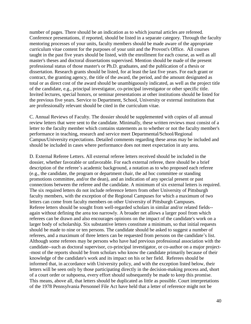number of pages. There should be an indication as to which journal articles are refereed. Conference presentations, if reported, should be listed in a separate category. Through the faculty mentoring processes of your units, faculty members should be made aware of the appropriate curriculum vitae content for the purposes of your unit and the Provost's Office. All courses taught in the past five years should be listed, with the enrollment for each course, as well as all master's theses and doctoral dissertations supervised. Mention should be made of the present professional status of those master's or Ph.D. graduates, and the publication of a thesis or dissertation. Research grants should be listed, for at least the last five years. For each grant or contract, the granting agency, the title of the award, the period, and the amount designated as total or as direct cost of the award should be unambiguously indicated, as well as the project title of the candidate, e.g., principal investigator, co-principal investigator or other specific title. Invited lectures, special honors, or seminar presentations at other institutions should be listed for the previous five years. Service to Department, School, University or external institutions that are professionally relevant should be cited in the curriculum vitae.

C. Annual Reviews of Faculty. The dossier should be supplemented with copies of all annual review letters that were sent to the candidate. Minimally, these written reviews must consist of a letter to the faculty member which contains statements as to whether or not the faculty member's performance in teaching, research and service meet Departmental/School/Regional Campus/University expectations. Detailed comments regarding these areas may be included and should be included in cases where performance does not meet expectation in any area.

D. External Referee Letters. All external referee letters received should be included in the dossier, whether favorable or unfavorable. For each external referee, there should be a brief description of the referee's academic background, a notation as to who proposed each referee (e.g., the candidate, the program or department chair, the ad hoc committee or standing promotions committee, and/or the dean), and an indication of any special present or past connections between the referee and the candidate. A minimum of six external letters is required. The six required letters do not include reference letters from other University of Pittsburgh faculty members, with the exception of the Regional Campuses for which a maximum of two letters can come from faculty members on other University of Pittsburgh Campuses. Referee letters should be sought from well-regarded scholars in similar and/or related fields- again without defining the area too narrowly. A broader net allows a larger pool from which referees can be drawn and also encourages opinions on the impact of the candidate's work on a larger body of scholarship. Six substantive letters constitute a minimum, so that initial requests should be made to nine or ten persons. The candidate should be asked to suggest a number of referees, and a maximum of three letters can be requested from persons on the candidate's list. Although some referees may be persons who have had previous professional association with the candidate--such as doctoral supervisor, co-principal investigator, or co-author on a major project- -most of the reports should be from scholars who know the candidate primarily because of their knowledge of the candidate's work and its impact on his or her field. Referees should be informed that, in accordance with University policy, and with the exception listed below, their letters will be seen only by those participating directly in the decision-making process and, short of a court order or subpoena, every effort should subsequently be made to keep this promise. This means, above all, that letters should be duplicated as little as possible. Court interpretations of the 1978 Pennsylvania Personnel File Act have held that a letter of reference might not be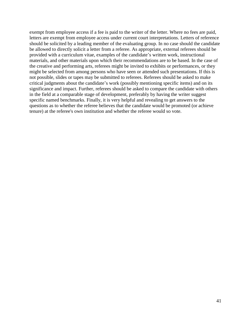exempt from employee access if a fee is paid to the writer of the letter. Where no fees are paid, letters are exempt from employee access under current court interpretations. Letters of reference should be solicited by a leading member of the evaluating group. In no case should the candidate be allowed to directly solicit a letter from a referee. As appropriate, external referees should be provided with a curriculum vitae, examples of the candidate's written work, instructional materials, and other materials upon which their recommendations are to be based. In the case of the creative and performing arts, referees might be invited to exhibits or performances, or they might be selected from among persons who have seen or attended such presentations. If this is not possible, slides or tapes may be submitted to referees. Referees should be asked to make critical judgments about the candidate's work (possibly mentioning specific items) and on its significance and impact. Further, referees should be asked to compare the candidate with others in the field at a comparable stage of development, preferably by having the writer suggest specific named benchmarks. Finally, it is very helpful and revealing to get answers to the questions as to whether the referee believes that the candidate would be promoted (or achieve tenure) at the referee's own institution and whether the referee would so vote.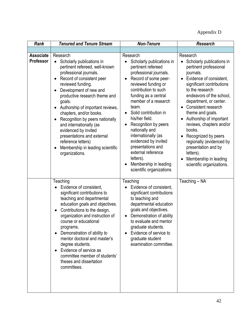Appendix D

| <b>Rank</b>                          | <b>Tenured and Tenure Stream</b>                                                                                                                                                                                                                                                                                                                                                                                                                                                                     | <b>Non-Tenure</b>                                                                                                                                                                                                                                                                                                                                                                                                                                                                              | <b>Research</b>                                                                                                                                                                                                                                                                                                                                                                                                                                                        |  |
|--------------------------------------|------------------------------------------------------------------------------------------------------------------------------------------------------------------------------------------------------------------------------------------------------------------------------------------------------------------------------------------------------------------------------------------------------------------------------------------------------------------------------------------------------|------------------------------------------------------------------------------------------------------------------------------------------------------------------------------------------------------------------------------------------------------------------------------------------------------------------------------------------------------------------------------------------------------------------------------------------------------------------------------------------------|------------------------------------------------------------------------------------------------------------------------------------------------------------------------------------------------------------------------------------------------------------------------------------------------------------------------------------------------------------------------------------------------------------------------------------------------------------------------|--|
| <b>Associate</b><br><b>Professor</b> | Research<br>Scholarly publications in<br>$\bullet$<br>pertinent refereed, well-known<br>professional journals.<br>Record of consistent peer<br>reviewed funding.<br>Development of new and<br>productive research theme and<br>goals.<br>Authorship of important reviews,<br>chapters, and/or books.<br>Recognition by peers nationally<br>and internationally (as<br>evidenced by invited<br>presentations and external<br>reference letters)<br>Membership in leading scientific<br>organizations. | Research<br>Scholarly publications in<br>pertinent refereed<br>professional journals.<br>Record of some peer-<br>$\bullet$<br>reviewed funding or<br>contribution to such<br>funding as a central<br>member of a research<br>team.<br>Solid contribution in<br>$\bullet$<br>his/her field.<br>Recognition by peers<br>$\bullet$<br>nationally and<br>internationally (as<br>evidenced by invited<br>presentations and<br>external reference<br>letters).<br>Membership in leading<br>$\bullet$ | Research<br>Scholarly publications in<br>pertinent professional<br>journals.<br>Evidence of consistent,<br>significant contributions<br>to the research<br>endeavors of the school,<br>department, or center.<br>Consistent research<br>theme and goals.<br>Authorship of important<br>reviews, chapters and/or<br>books.<br>Recognized by peers<br>regionally (evidenced by<br>presentation and by<br>letters).<br>Membership in leading<br>scientific organizations. |  |
|                                      | Teaching<br>Evidence of consistent,<br>significant contributions to<br>teaching and departmental<br>education goals and objectives.<br>Contributions to the design,<br>$\bullet$<br>organization and instruction of<br>course or educational<br>programs.<br>Demonstration of ability to<br>$\bullet$<br>mentor doctoral and master's<br>degree students.<br>Evidence of service as<br>committee member of students'<br>theses and dissertation<br>committees.                                       | scientific organizations<br>Teaching<br>Evidence of consistent,<br>significant contributions<br>to teaching and<br>departmental education<br>goals and objectives.<br>Demonstration of ability<br>$\bullet$<br>to evaluate and mentor<br>graduate students.<br>Evidence of service to<br>$\bullet$<br>graduate student<br>examination committee.                                                                                                                                               | Teaching - NA                                                                                                                                                                                                                                                                                                                                                                                                                                                          |  |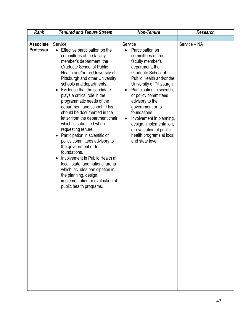| <b>Associate</b><br>Service - NA<br>Service<br>Service<br><b>Professor</b><br>Effective participation on the<br>Participation on<br>$\bullet$<br>committees of the<br>committees of the faculty<br>member's department, the<br>faculty member's<br><b>Graduate School of Public</b><br>department, the<br>Graduate School of<br>Health and/or the University of<br><b>Pittsburgh and other University</b><br>Public Health and/or the<br>schools and departments.<br>University of Pittsburgh<br>Evidence that the candidate<br>Participation in scientific<br>$\bullet$<br>$\bullet$<br>plays a critical role in the<br>or policy committees<br>programmatic needs of the<br>advisory to the<br>department and school. This<br>government or to<br>should be documented in the<br>foundations.<br>letter from the department chair<br>Involvement in planning,<br>$\bullet$<br>which is submitted when<br>design, implementation,<br>requesting tenure.<br>or evaluation of public<br>Participation in scientific or<br>health programs at local<br>$\bullet$<br>and state level.<br>policy committees advisory to |
|---------------------------------------------------------------------------------------------------------------------------------------------------------------------------------------------------------------------------------------------------------------------------------------------------------------------------------------------------------------------------------------------------------------------------------------------------------------------------------------------------------------------------------------------------------------------------------------------------------------------------------------------------------------------------------------------------------------------------------------------------------------------------------------------------------------------------------------------------------------------------------------------------------------------------------------------------------------------------------------------------------------------------------------------------------------------------------------------------------------------|
|                                                                                                                                                                                                                                                                                                                                                                                                                                                                                                                                                                                                                                                                                                                                                                                                                                                                                                                                                                                                                                                                                                                     |
| the government or to<br>foundations.<br>Involvement in Public Health at<br>local, state, and national arena<br>which includes participation in<br>the planning, design,<br>implementation or evaluation of<br>public health programs.                                                                                                                                                                                                                                                                                                                                                                                                                                                                                                                                                                                                                                                                                                                                                                                                                                                                               |
|                                                                                                                                                                                                                                                                                                                                                                                                                                                                                                                                                                                                                                                                                                                                                                                                                                                                                                                                                                                                                                                                                                                     |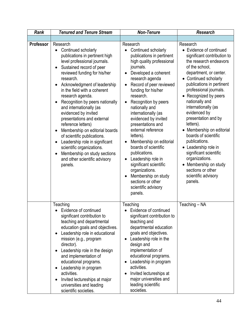| Rank             | <b>Tenured and Tenure Stream</b>                                                                                                                                                                                                                                                                                                                                                                                                                                                                                                                                                                                                                                                                                | <b>Non-Tenure</b>                                                                                                                                                                                                                                                                                                                                                                                                                                                                                                                                                                                                                                      | <b>Research</b>                                                                                                                                                                                                                                                                                                                                                                                                                                                                                                                                                                   |
|------------------|-----------------------------------------------------------------------------------------------------------------------------------------------------------------------------------------------------------------------------------------------------------------------------------------------------------------------------------------------------------------------------------------------------------------------------------------------------------------------------------------------------------------------------------------------------------------------------------------------------------------------------------------------------------------------------------------------------------------|--------------------------------------------------------------------------------------------------------------------------------------------------------------------------------------------------------------------------------------------------------------------------------------------------------------------------------------------------------------------------------------------------------------------------------------------------------------------------------------------------------------------------------------------------------------------------------------------------------------------------------------------------------|-----------------------------------------------------------------------------------------------------------------------------------------------------------------------------------------------------------------------------------------------------------------------------------------------------------------------------------------------------------------------------------------------------------------------------------------------------------------------------------------------------------------------------------------------------------------------------------|
|                  |                                                                                                                                                                                                                                                                                                                                                                                                                                                                                                                                                                                                                                                                                                                 |                                                                                                                                                                                                                                                                                                                                                                                                                                                                                                                                                                                                                                                        |                                                                                                                                                                                                                                                                                                                                                                                                                                                                                                                                                                                   |
| <b>Professor</b> | Research<br>Continued scholarly<br>$\bullet$<br>publications in pertinent high<br>level professional journals.<br>Sustained record of peer<br>$\bullet$<br>reviewed funding for his/her<br>research.<br>Acknowledgment of leadership<br>$\bullet$<br>in the field with a coherent<br>research agenda.<br>Recognition by peers nationally<br>$\bullet$<br>and internationally (as<br>evidenced by invited<br>presentations and external<br>reference letters)<br>Membership on editorial boards<br>$\bullet$<br>of scientific publications.<br>Leadership role in significant<br>$\bullet$<br>scientific organizations.<br>Membership on study sections<br>$\bullet$<br>and other scientific advisory<br>panels. | Research<br>Continued scholarly<br>publications in pertinent<br>high quality professional<br>journals.<br>Developed a coherent<br>$\bullet$<br>research agenda<br>Record of peer reviewed<br>$\bullet$<br>funding for his/her<br>research.<br>Recognition by peers<br>$\bullet$<br>nationally and<br>internationally (as<br>evidenced by invited<br>presentations and<br>external reference<br>letters).<br>Membership on editorial<br>boards of scientific<br>publications.<br>Leadership role in<br>$\bullet$<br>significant scientific<br>organizations.<br>Membership on study<br>$\bullet$<br>sections or other<br>scientific advisory<br>panels. | Research<br>• Evidence of continued<br>significant contribution to<br>the research endeavors<br>of the school,<br>department, or center.<br>• Continued scholarly<br>publications in pertinent<br>professional journals.<br>• Recognized by peers<br>nationally and<br>internationally (as<br>evidenced by<br>presentation and by<br>letters).<br>Membership on editorial<br>boards of scientific<br>publications.<br>• Leadership role in<br>significant scientific<br>organizations.<br>Membership on study<br>$\bullet$<br>sections or other<br>scientific advisory<br>panels. |
|                  | Teaching<br>Evidence of continued<br>significant contribution to<br>teaching and departmental<br>education goals and objectives.<br>Leadership role in educational<br>$\bullet$<br>mission (e.g., program<br>director).<br>Leadership role in the design<br>٠<br>and implementation of<br>educational programs.<br>Leadership in program<br>٠<br>activities.<br>Invited lectureships at major<br>٠<br>universities and leading<br>scientific societies.                                                                                                                                                                                                                                                         | Teaching<br>Evidence of continued<br>significant contribution to<br>teaching and<br>departmental education<br>goals and objectives.<br>Leadership role in the<br>$\bullet$<br>design and<br>implementation of<br>educational programs.<br>Leadership in program<br>$\bullet$<br>activities.<br>Invited lectureships at<br>$\bullet$<br>major universities and<br>leading scientific<br>societies.                                                                                                                                                                                                                                                      | Teaching - NA                                                                                                                                                                                                                                                                                                                                                                                                                                                                                                                                                                     |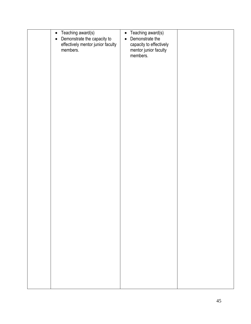| Teaching award(s)<br>$\bullet$<br>Demonstrate the capacity to<br>$\bullet$<br>effectively mentor junior faculty<br>members. | Teaching award(s)<br>$\bullet$<br>Demonstrate the<br>$\bullet$<br>capacity to effectively<br>mentor junior faculty<br>members. |  |
|-----------------------------------------------------------------------------------------------------------------------------|--------------------------------------------------------------------------------------------------------------------------------|--|
|                                                                                                                             |                                                                                                                                |  |
|                                                                                                                             |                                                                                                                                |  |
|                                                                                                                             |                                                                                                                                |  |
|                                                                                                                             |                                                                                                                                |  |
|                                                                                                                             |                                                                                                                                |  |
|                                                                                                                             |                                                                                                                                |  |